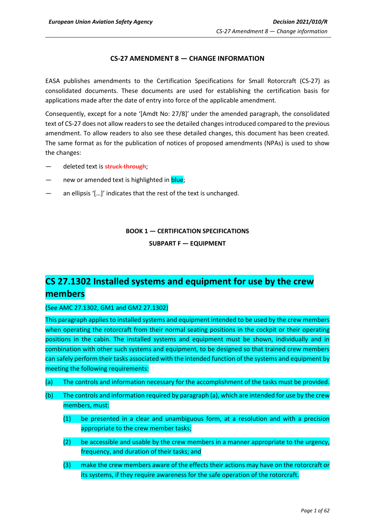## **CS-27 AMENDMENT 8 — CHANGE INFORMATION**

EASA publishes amendments to the Certification Specifications for Small Rotorcraft (CS-27) as consolidated documents. These documents are used for establishing the certification basis for applications made after the date of entry into force of the applicable amendment.

Consequently, except for a note '[Amdt No: 27/8]' under the amended paragraph, the consolidated text of CS-27 does not allow readers to see the detailed changes introduced compared to the previous amendment. To allow readers to also see these detailed changes, this document has been created. The same format as for the publication of notices of proposed amendments (NPAs) is used to show the changes:

- deleted text is struck through;
- new or amended text is highlighted in blue;
- an ellipsis '[...]' indicates that the rest of the text is unchanged.

## **BOOK 1 — CERTIFICATION SPECIFICATIONS SUBPART F — EQUIPMENT**

# **CS 27.1302 Installed systems and equipment for use by the crew members**

(See AMC 27.1302, GM1 and GM2 27.1302)

This paragraph applies to installed systems and equipment intended to be used by the crew members when operating the rotorcraft from their normal seating positions in the cockpit or their operating positions in the cabin. The installed systems and equipment must be shown, individually and in combination with other such systems and equipment, to be designed so that trained crew members can safely perform their tasks associated with the intended function of the systems and equipment by meeting the following requirements:

- (a) The controls and information necessary for the accomplishment of the tasks must be provided.
- (b) The controls and information required by paragraph (a), which are intended for use by the crew members, must:
	- (1) be presented in a clear and unambiguous form, at a resolution and with a precision appropriate to the crew member tasks;
	- (2) be accessible and usable by the crew members in a manner appropriate to the urgency, frequency, and duration of their tasks; and
	- (3) make the crew members aware of the effects their actions may have on the rotorcraft or its systems, if they require awareness for the safe operation of the rotorcraft.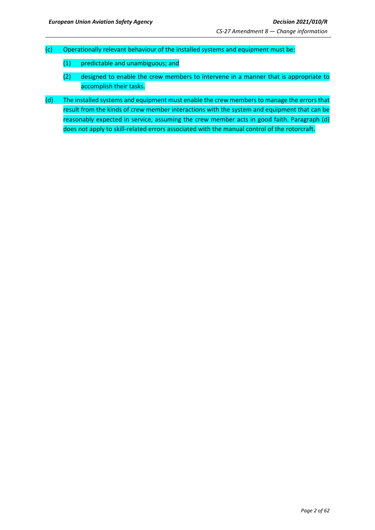- (c) Operationally relevant behaviour of the installed systems and equipment must be:
	- (1) predictable and unambiguous; and
	- (2) designed to enable the crew members to intervene in a manner that is appropriate to accomplish their tasks.
- (d) The installed systems and equipment must enable the crew members to manage the errors that result from the kinds of crew member interactions with the system and equipment that can be reasonably expected in service, assuming the crew member acts in good faith. Paragraph (d) does not apply to skill-related errors associated with the manual control of the rotorcraft.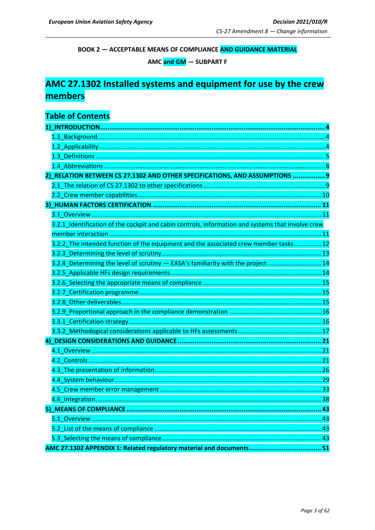**BOOK 2 - ACCEPTABLE MEANS OF COMPLIANCE AND GUIDANCE MATERIAL** 

AMC and GM - SUBPART F

# AMC 27.1302 Installed systems and equipment for use by the crew members

# **Table of Contents**

| 2) RELATION BETWEEN CS 27.1302 AND OTHER SPECIFICATIONS, AND ASSUMPTIONS  9                       |  |
|---------------------------------------------------------------------------------------------------|--|
|                                                                                                   |  |
|                                                                                                   |  |
|                                                                                                   |  |
|                                                                                                   |  |
| 3.2.1_Identification of the cockpit and cabin controls, information and systems that involve crew |  |
|                                                                                                   |  |
| 3.2.2_The intended function of the equipment and the associated crew member tasks 12              |  |
|                                                                                                   |  |
| 3.2.4 Determining the level of scrutiny - EASA's familiarity with the project  14                 |  |
|                                                                                                   |  |
|                                                                                                   |  |
|                                                                                                   |  |
|                                                                                                   |  |
|                                                                                                   |  |
|                                                                                                   |  |
|                                                                                                   |  |
|                                                                                                   |  |
|                                                                                                   |  |
|                                                                                                   |  |
|                                                                                                   |  |
|                                                                                                   |  |
|                                                                                                   |  |
|                                                                                                   |  |
|                                                                                                   |  |
|                                                                                                   |  |
|                                                                                                   |  |
|                                                                                                   |  |
|                                                                                                   |  |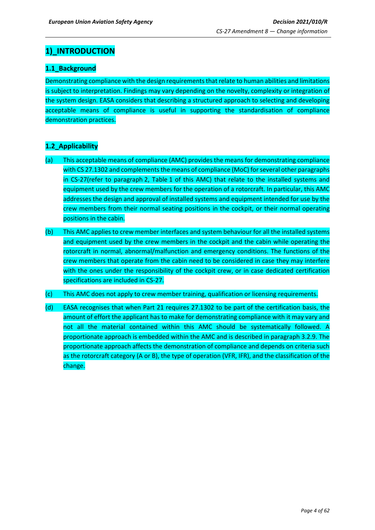## <span id="page-3-0"></span>**1)\_INTRODUCTION**

## <span id="page-3-1"></span>**1.1\_Background**

Demonstrating compliance with the design requirements that relate to human abilities and limitations is subject to interpretation. Findings may vary depending on the novelty, complexity or integration of the system design. EASA considers that describing a structured approach to selecting and developing acceptable means of compliance is useful in supporting the standardisation of compliance demonstration practices.

## <span id="page-3-2"></span>**1.2\_Applicability**

- (a) This acceptable means of compliance (AMC) provides the means for demonstrating compliance with CS 27.1302 and complements the means of compliance (MoC) for several other paragraphs in CS-27(refer to paragraph 2, Table 1 of this AMC) that relate to the installed systems and equipment used by the crew members for the operation of a rotorcraft. In particular, this AMC addresses the design and approval of installed systems and equipment intended for use by the crew members from their normal seating positions in the cockpit, or their normal operating positions in the cabin.
- (b) This AMC applies to crew member interfaces and system behaviour for all the installed systems and equipment used by the crew members in the cockpit and the cabin while operating the rotorcraft in normal, abnormal/malfunction and emergency conditions. The functions of the crew members that operate from the cabin need to be considered in case they may interfere with the ones under the responsibility of the cockpit crew, or in case dedicated certification specifications are included in CS-27.
- (c) This AMC does not apply to crew member training, qualification or licensing requirements.
- (d) EASA recognises that when Part 21 requires 27.1302 to be part of the certification basis, the amount of effort the applicant has to make for demonstrating compliance with it may vary and not all the material contained within this AMC should be systematically followed. A proportionate approach is embedded within the AMC and is described in paragraph 3.2.9. The proportionate approach affects the demonstration of compliance and depends on criteria such as the rotorcraft category (A or B), the type of operation (VFR, IFR), and the classification of the change.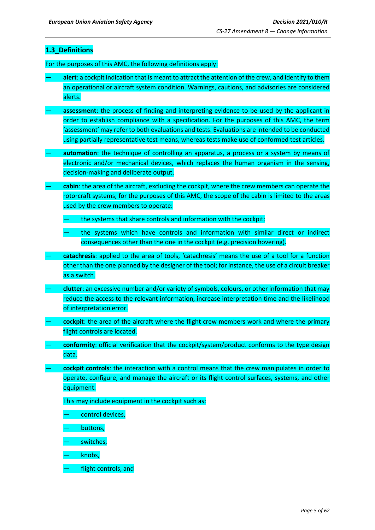## <span id="page-4-0"></span>**1.3\_Definitions**

For the purposes of this AMC, the following definitions apply:

- **alert**: a cockpit indication that is meant to attract the attention of the crew, and identify to them an operational or aircraft system condition. Warnings, cautions, and advisories are considered alerts.
- **assessment**: the process of finding and interpreting evidence to be used by the applicant in order to establish compliance with a specification. For the purposes of this AMC, the term 'assessment' may refer to both evaluations and tests. Evaluations are intended to be conducted using partially representative test means, whereas tests make use of conformed test articles.
- **automation**: the technique of controlling an apparatus, a process or a system by means of electronic and/or mechanical devices, which replaces the human organism in the sensing, decision-making and deliberate output.
- **cabin**: the area of the aircraft, excluding the cockpit, where the crew members can operate the rotorcraft systems; for the purposes of this AMC, the scope of the cabin is limited to the areas used by the crew members to operate:
	- the systems that share controls and information with the cockpit;
	- the systems which have controls and information with similar direct or indirect consequences other than the one in the cockpit (e.g. precision hovering).
- **catachresis**: applied to the area of tools, 'catachresis' means the use of a tool for a function other than the one planned by the designer of the tool; for instance, the use of a circuit breaker as a switch.
- **clutter**: an excessive number and/or variety of symbols, colours, or other information that may reduce the access to the relevant information, increase interpretation time and the likelihood of interpretation error.
- **cockpit**: the area of the aircraft where the flight crew members work and where the primary flight controls are located.
- **conformity**: official verification that the cockpit/system/product conforms to the type design data.
- **cockpit controls**: the interaction with a control means that the crew manipulates in order to operate, configure, and manage the aircraft or its flight control surfaces, systems, and other equipment.

This may include equipment in the cockpit such as:

- control devices,
- buttons,
- switches,
- knobs,
- flight controls, and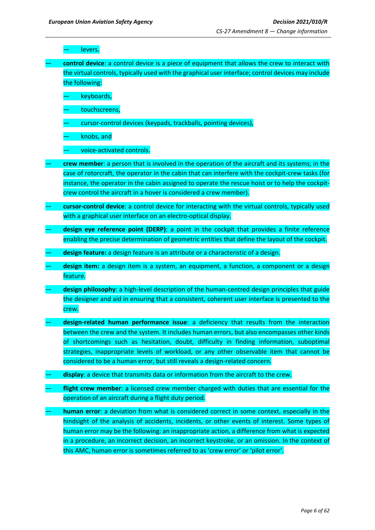levers.

— **control device**: a control device is a piece of equipment that allows the crew to interact with the virtual controls, typically used with the graphical user interface; control devices may include the following:

keyboards,

- touchscreens,
- cursor-control devices (keypads, trackballs, pointing devices),

— knobs, and

— voice-activated controls.

- **crew member**: a person that is involved in the operation of the aircraft and its systems; in the case of rotorcraft, the operator in the cabin that can interfere with the cockpit-crew tasks (for instance, the operator in the cabin assigned to operate the rescue hoist or to help the cockpitcrew control the aircraft in a hover is considered a crew member).
- **cursor-control device**: a control device for interacting with the virtual controls, typically used with a graphical user interface on an electro-optical display.
- **design eye reference point (DERP)**: a point in the cockpit that provides a finite reference enabling the precise determination of geometric entities that define the layout of the cockpit.
- **design feature:** a design feature is an attribute or a characteristic of a design.
- **design item:** a design item is a system, an equipment, a function, a component or a design feature.
- design philosophy: a high-level description of the human-centred design principles that guide the designer and aid in ensuring that a consistent, coherent user interface is presented to the crew.
- **design-related human performance issue**: a deficiency that results from the interaction between the crew and the system. It includes human errors, but also encompasses other kinds of shortcomings such as hesitation, doubt, difficulty in finding information, suboptimal strategies, inappropriate levels of workload, or any other observable item that cannot be considered to be a human error, but still reveals a design-related concern.
- display: a device that transmits data or information from the aircraft to the crew.
- flight crew member: a licensed crew member charged with duties that are essential for the operation of an aircraft during a flight duty period.
- **human error**: a deviation from what is considered correct in some context, especially in the hindsight of the analysis of accidents, incidents, or other events of interest. Some types of human error may be the following: an inappropriate action, a difference from what is expected in a procedure, an incorrect decision, an incorrect keystroke, or an omission. In the context of this AMC, human error is sometimes referred to as 'crew error' or 'pilot error'.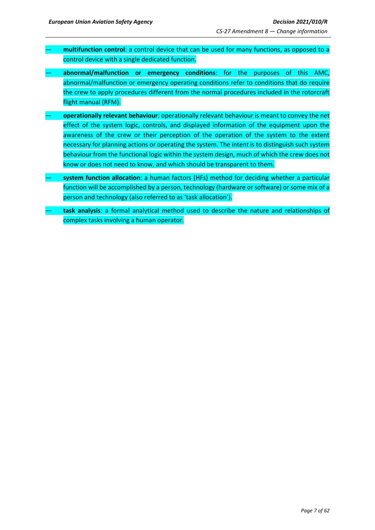- **multifunction control**: a control device that can be used for many functions, as opposed to a control device with a single dedicated function.
- **abnormal/malfunction or emergency conditions**: for the purposes of this AMC, abnormal/malfunction or emergency operating conditions refer to conditions that do require the crew to apply procedures different from the normal procedures included in the rotorcraft flight manual (RFM).
- **operationally relevant behaviour**: operationally relevant behaviour is meant to convey the net effect of the system logic, controls, and displayed information of the equipment upon the awareness of the crew or their perception of the operation of the system to the extent necessary for planning actions or operating the system. The intent is to distinguish such system behaviour from the functional logic within the system design, much of which the crew does not know or does not need to know, and which should be transparent to them.
- **system function allocation**: a human factors (HFs) method for deciding whether a particular function will be accomplished by a person, technology (hardware or software) or some mix of a person and technology (also referred to as 'task allocation').
- **task analysis**: a formal analytical method used to describe the nature and relationships of complex tasks involving a human operator.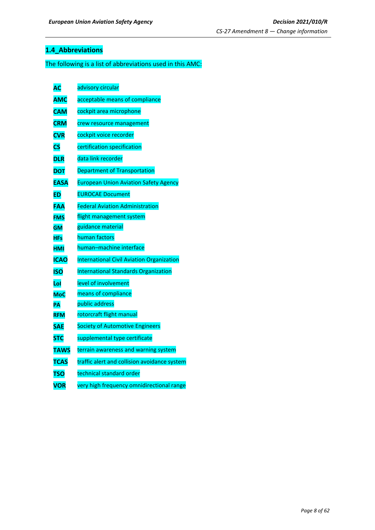## <span id="page-7-0"></span>**1.4\_Abbreviations**

## The following is a list of abbreviations used in this AMC:

| АC                     | advisory circular                                |
|------------------------|--------------------------------------------------|
| <b>AMC</b>             | acceptable means of compliance                   |
| <b>CAM</b>             | cockpit area microphone                          |
| <b>CRM</b>             | crew resource management                         |
| <b>CVR</b>             | cockpit voice recorder                           |
| $\overline{\text{cs}}$ | certification specification                      |
| <b>DLR</b>             | data link recorder                               |
| <b>DOT</b>             | <b>Department of Transportation</b>              |
| <b>EASA</b>            | <b>European Union Aviation Safety Agency</b>     |
| <b>ED</b>              | <b>EUROCAE Document</b>                          |
| FAA                    | <b>Federal Aviation Administration</b>           |
| <b>FMS</b>             | flight management system                         |
| <b>GM</b>              | guidance material                                |
| <b>HFs</b>             | human factors                                    |
| <b>HMI</b>             | human-machine interface                          |
| <b>ICAO</b>            | <b>International Civil Aviation Organization</b> |
| <b>ISO</b>             | <b>International Standards Organization</b>      |
| Lol                    | level of involvement                             |
| <b>MoC</b>             | means of compliance                              |
| PΑ                     | public address                                   |
| <b>RFM</b>             | rotorcraft flight manual                         |
| <b>SAE</b>             | <b>Society of Automotive Engineers</b>           |
| <b>STC</b>             | supplemental type certificate                    |
| <b>TAWS</b>            | terrain awareness and warning system             |
| <b>TCAS</b>            | traffic alert and collision avoidance system     |
| <b>TSO</b>             | technical standard order                         |
| <b>VOR</b>             | very high frequency omnidirectional range        |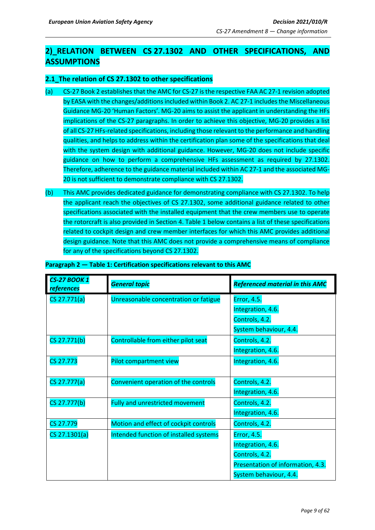## <span id="page-8-0"></span>**2)\_RELATION BETWEEN CS 27.1302 AND OTHER SPECIFICATIONS, AND ASSUMPTIONS**

## <span id="page-8-1"></span>**2.1\_The relation of CS 27.1302 to other specifications**

- (a) CS-27 Book 2 establishes that the AMC for CS-27 is the respective FAA AC 27-1 revision adopted by EASA with the changes/additions included within Book 2. AC 27-1 includes the Miscellaneous Guidance MG-20 'Human Factors'. MG-20 aims to assist the applicant in understanding the HFs implications of the CS-27 paragraphs. In order to achieve this objective, MG-20 provides a list of all CS-27 HFs-related specifications, including those relevant to the performance and handling qualities, and helps to address within the certification plan some of the specifications that deal with the system design with additional guidance. However, MG-20 does not include specific guidance on how to perform a comprehensive HFs assessment as required by 27.1302. Therefore, adherence to the guidance material included within AC 27-1 and the associated MG-20 is not sufficient to demonstrate compliance with CS 27.1302.
- (b) This AMC provides dedicated guidance for demonstrating compliance with CS 27.1302. To help the applicant reach the objectives of CS 27.1302, some additional guidance related to other specifications associated with the installed equipment that the crew members use to operate the rotorcraft is also provided in Section 4. Table 1 below contains a list of these specifications related to cockpit design and crew member interfaces for which this AMC provides additional design guidance. Note that this AMC does not provide a comprehensive means of compliance for any of the specifications beyond CS 27.1302.

| <b>CS-27 BOOK 1</b><br><i>references</i> | <b>General topic</b>                   | <b>Referenced material in this AMC</b> |
|------------------------------------------|----------------------------------------|----------------------------------------|
| CS 27.771(a)                             | Unreasonable concentration or fatigue  | Error, 4.5.                            |
|                                          |                                        | Integration, 4.6.                      |
|                                          |                                        | Controls, 4.2.                         |
|                                          |                                        | System behaviour, 4.4.                 |
| CS 27.771(b)                             | Controllable from either pilot seat    | Controls, 4.2.                         |
|                                          |                                        | Integration, 4.6.                      |
| <b>CS 27.773</b>                         | Pilot compartment view                 | Integration, 4.6.                      |
|                                          |                                        |                                        |
| CS 27.777(a)                             | Convenient operation of the controls   | Controls, 4.2.                         |
|                                          |                                        | Integration, 4.6.                      |
| CS 27.777(b)                             | Fully and unrestricted movement        | Controls, 4.2.                         |
|                                          |                                        | Integration, 4.6.                      |
| CS 27.779                                | Motion and effect of cockpit controls  | Controls, 4.2.                         |
| CS 27.1301(a)                            | Intended function of installed systems | Error, 4.5.                            |
|                                          |                                        | Integration, 4.6.                      |
|                                          |                                        | Controls, 4.2.                         |
|                                          |                                        | Presentation of information, 4.3.      |
|                                          |                                        | System behaviour, 4.4.                 |

### **Paragraph 2 — Table 1: Certification specifications relevant to this AMC**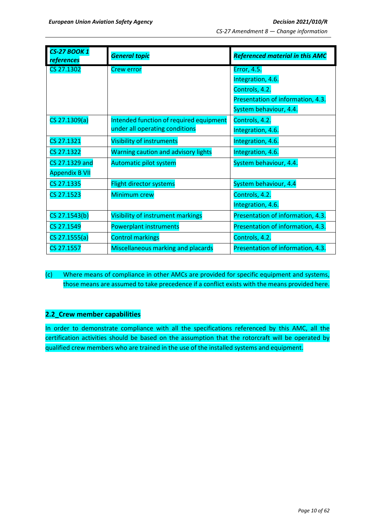| <b>CS-27 BOOK 1</b><br><b>references</b> | <b>General topic</b>                       | <b>Referenced material in this AMC</b> |
|------------------------------------------|--------------------------------------------|----------------------------------------|
| CS 27.1302                               | <b>Crew error</b>                          | <b>Error, 4.5.</b>                     |
|                                          |                                            | Integration, 4.6.                      |
|                                          |                                            | Controls, 4.2.                         |
|                                          |                                            | Presentation of information, 4.3.      |
|                                          |                                            | System behaviour, 4.4.                 |
| CS 27.1309(a)                            | Intended function of required equipment    | Controls, 4.2.                         |
|                                          | under all operating conditions             | Integration, 4.6.                      |
| CS 27.1321                               | <b>Visibility of instruments</b>           | Integration, 4.6.                      |
| CS 27.1322                               | <b>Warning caution and advisory lights</b> | Integration, 4.6.                      |
| CS 27.1329 and                           | Automatic pilot system                     | System behaviour, 4.4.                 |
| <b>Appendix B VII</b>                    |                                            |                                        |
| CS 27.1335                               | <b>Flight director systems</b>             | System behaviour, 4.4                  |
| CS 27.1523                               | <b>Minimum crew</b>                        | Controls, 4.2.                         |
|                                          |                                            | Integration, 4.6.                      |
| CS 27.1543(b)                            | Visibility of instrument markings          | Presentation of information, 4.3.      |
| CS 27.1549                               | <b>Powerplant instruments</b>              | Presentation of information, 4.3.      |
| CS 27.1555(a)                            | <b>Control markings</b>                    | Controls, 4.2.                         |
| CS 27.1557                               | Miscellaneous marking and placards         | Presentation of information, 4.3.      |

(c) Where means of compliance in other AMCs are provided for specific equipment and systems, those means are assumed to take precedence if a conflict exists with the means provided here.

## <span id="page-9-0"></span>**2.2\_Crew member capabilities**

In order to demonstrate compliance with all the specifications referenced by this AMC, all the certification activities should be based on the assumption that the rotorcraft will be operated by qualified crew members who are trained in the use of the installed systems and equipment.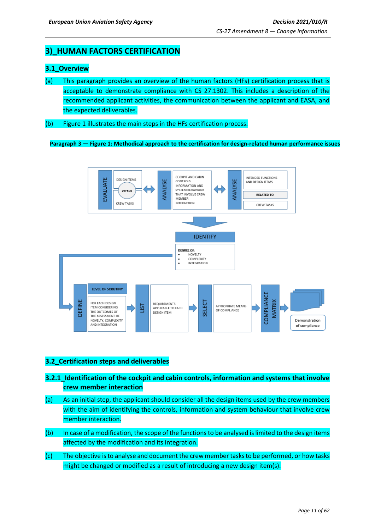## <span id="page-10-0"></span>**3)\_HUMAN FACTORS CERTIFICATION**

## <span id="page-10-1"></span>**3.1\_Overview**

- (a) This paragraph provides an overview of the human factors (HFs) certification process that is acceptable to demonstrate compliance with CS 27.1302. This includes a description of the recommended applicant activities, the communication between the applicant and EASA, and the expected deliverables.
- (b) Figure 1 illustrates the main steps in the HFs certification process.

**Paragraph 3 — Figure 1: Methodical approach to the certification for design-related human performance issues**



## <span id="page-10-2"></span>**3.2\_Certification steps and deliverables**

- **3.2.1\_Identification of the cockpit and cabin controls, information and systems that involve crew member interaction**
- (a) As an initial step, the applicant should consider all the design items used by the crew members with the aim of identifying the controls, information and system behaviour that involve crew member interaction.
- (b) In case of a modification, the scope of the functions to be analysed is limited to the design items affected by the modification and its integration.
- (c) The objective is to analyse and document the crew member tasks to be performed, or how tasks might be changed or modified as a result of introducing a new design item(s).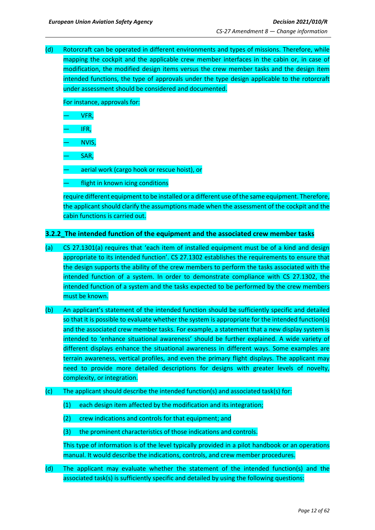(d) Rotorcraft can be operated in different environments and types of missions. Therefore, while mapping the cockpit and the applicable crew member interfaces in the cabin or, in case of modification, the modified design items versus the crew member tasks and the design item intended functions, the type of approvals under the type design applicable to the rotorcraft under assessment should be considered and documented.

For instance, approvals for:

— VFR,

— IFR,

— NVIS,

— SAR,

— aerial work (cargo hook or rescue hoist), or

flight in known icing conditions

require different equipment to be installed or a different use of the same equipment. Therefore, the applicant should clarify the assumptions made when the assessment of the cockpit and the cabin functions is carried out.

### <span id="page-11-0"></span>**3.2.2\_The intended function of the equipment and the associated crew member tasks**

- (a) CS 27.1301(a) requires that 'each item of installed equipment must be of a kind and design appropriate to its intended function'. CS 27.1302 establishes the requirements to ensure that the design supports the ability of the crew members to perform the tasks associated with the intended function of a system. In order to demonstrate compliance with CS 27.1302, the intended function of a system and the tasks expected to be performed by the crew members must be known.
- (b) An applicant's statement of the intended function should be sufficiently specific and detailed so that it is possible to evaluate whether the system is appropriate for the intended function(s) and the associated crew member tasks. For example, a statement that a new display system is intended to 'enhance situational awareness' should be further explained. A wide variety of different displays enhance the situational awareness in different ways. Some examples are terrain awareness, vertical profiles, and even the primary flight displays. The applicant may need to provide more detailed descriptions for designs with greater levels of novelty, complexity, or integration.
- (c) The applicant should describe the intended function(s) and associated task(s) for:
	- (1) each design item affected by the modification and its integration;
	- (2) crew indications and controls for that equipment; and
	- (3) the prominent characteristics of those indications and controls.

This type of information is of the level typically provided in a pilot handbook or an operations manual. It would describe the indications, controls, and crew member procedures.

(d) The applicant may evaluate whether the statement of the intended function(s) and the associated task(s) is sufficiently specific and detailed by using the following questions: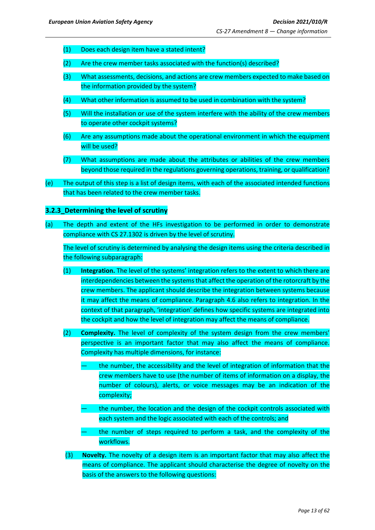- (1) Does each design item have a stated intent?
- (2) Are the crew member tasks associated with the function(s) described?
- (3) What assessments, decisions, and actions are crew members expected to make based on the information provided by the system?
- (4) What other information is assumed to be used in combination with the system?
- (5) Will the installation or use of the system interfere with the ability of the crew members to operate other cockpit systems?
- (6) Are any assumptions made about the operational environment in which the equipment will be used?
- (7) What assumptions are made about the attributes or abilities of the crew members beyond those required in the regulations governing operations, training, or qualification?
- (e) The output of this step is a list of design items, with each of the associated intended functions that has been related to the crew member tasks.

## <span id="page-12-0"></span>**3.2.3\_Determining the level of scrutiny**

(a) The depth and extent of the HFs investigation to be performed in order to demonstrate compliance with CS 27.1302 is driven by the level of scrutiny.

The level of scrutiny is determined by analysing the design items using the criteria described in the following subparagraph:

- (1) **Integration.** The level of the systems' integration refers to the extent to which there are interdependencies between the systems that affect the operation of the rotorcraft by the crew members. The applicant should describe the integration between systems because it may affect the means of compliance. Paragraph 4.6 also refers to integration. In the context of that paragraph, 'integration' defines how specific systems are integrated into the cockpit and how the level of integration may affect the means of compliance.
- (2) **Complexity.** The level of complexity of the system design from the crew members' perspective is an important factor that may also affect the means of compliance. Complexity has multiple dimensions, for instance:
	- the number, the accessibility and the level of integration of information that the crew members have to use (the number of items of information on a display, the number of colours), alerts, or voice messages may be an indication of the complexity;
	- the number, the location and the design of the cockpit controls associated with each system and the logic associated with each of the controls; and
	- the number of steps required to perform a task, and the complexity of the workflows.
- (3) **Novelty.** The novelty of a design item is an important factor that may also affect the means of compliance. The applicant should characterise the degree of novelty on the basis of the answers to the following questions: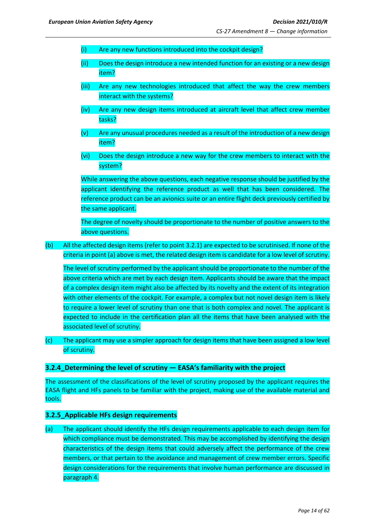- (i) Are any new functions introduced into the cockpit design?
- (ii) Does the design introduce a new intended function for an existing or a new design item?
- (iii) Are any new technologies introduced that affect the way the crew members interact with the systems?
- (iv) Are any new design items introduced at aircraft level that affect crew member tasks?
- (v) Are any unusual procedures needed as a result of the introduction of a new design item?
- (vi) Does the design introduce a new way for the crew members to interact with the system?

While answering the above questions, each negative response should be justified by the applicant identifying the reference product as well that has been considered. The reference product can be an avionics suite or an entire flight deck previously certified by the same applicant.

The degree of novelty should be proportionate to the number of positive answers to the above questions.

(b) All the affected design items (refer to point 3.2.1) are expected to be scrutinised. If none of the criteria in point (a) above is met, the related design item is candidate for a low level of scrutiny.

The level of scrutiny performed by the applicant should be proportionate to the number of the above criteria which are met by each design item. Applicants should be aware that the impact of a complex design item might also be affected by its novelty and the extent of its integration with other elements of the cockpit. For example, a complex but not novel design item is likely to require a lower level of scrutiny than one that is both complex and novel. The applicant is expected to include in the certification plan all the items that have been analysed with the associated level of scrutiny.

(c) The applicant may use a simpler approach for design items that have been assigned a low level of scrutiny.

### <span id="page-13-0"></span>**3.2.4\_Determining the level of scrutiny — EASA's familiarity with the project**

The assessment of the classifications of the level of scrutiny proposed by the applicant requires the EASA flight and HFs panels to be familiar with the project, making use of the available material and tools.

### <span id="page-13-1"></span>**3.2.5\_Applicable HFs design requirements**

(a) The applicant should identify the HFs design requirements applicable to each design item for which compliance must be demonstrated. This may be accomplished by identifying the design characteristics of the design items that could adversely affect the performance of the crew members, or that pertain to the avoidance and management of crew member errors. Specific design considerations for the requirements that involve human performance are discussed in paragraph 4.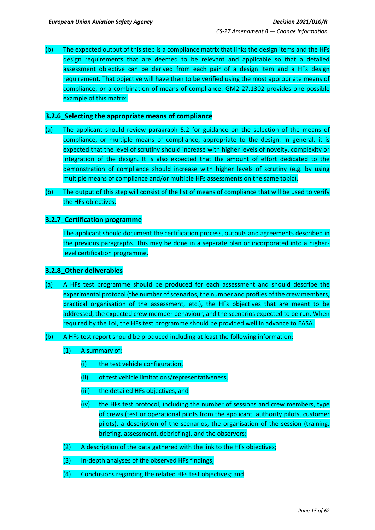(b) The expected output of this step is a compliance matrix that links the design items and the HFs design requirements that are deemed to be relevant and applicable so that a detailed assessment objective can be derived from each pair of a design item and a HFs design requirement. That objective will have then to be verified using the most appropriate means of compliance, or a combination of means of compliance. GM2 27.1302 provides one possible example of this matrix.

### <span id="page-14-0"></span>**3.2.6\_Selecting the appropriate means of compliance**

- (a) The applicant should review paragraph 5.2 for guidance on the selection of the means of compliance, or multiple means of compliance, appropriate to the design. In general, it is expected that the level of scrutiny should increase with higher levels of novelty, complexity or integration of the design. It is also expected that the amount of effort dedicated to the demonstration of compliance should increase with higher levels of scrutiny (e.g. by using multiple means of compliance and/or multiple HFs assessments on the same topic).
- (b) The output of this step will consist of the list of means of compliance that will be used to verify the HFs objectives.

### <span id="page-14-1"></span>**3.2.7\_Certification programme**

The applicant should document the certification process, outputs and agreements described in the previous paragraphs. This may be done in a separate plan or incorporated into a higherlevel certification programme.

### <span id="page-14-2"></span>**3.2.8\_Other deliverables**

- (a) A HFs test programme should be produced for each assessment and should describe the experimental protocol (the number of scenarios, the number and profiles of the crew members, practical organisation of the assessment, etc.), the HFs objectives that are meant to be addressed, the expected crew member behaviour, and the scenarios expected to be run. When required by the LoI, the HFs test programme should be provided well in advance to EASA.
- (b) A HFs test report should be produced including at least the following information:
	- (1) A summary of:
		- (i) the test vehicle configuration,
		- (ii) of test vehicle limitations/representativeness,
		- (iii) the detailed HFs objectives, and
		- (iv) the HFs test protocol, including the number of sessions and crew members, type of crews (test or operational pilots from the applicant, authority pilots, customer pilots), a description of the scenarios, the organisation of the session (training, briefing, assessment, debriefing), and the observers;
	- (2) A description of the data gathered with the link to the HFs objectives;
	- (3) In-depth analyses of the observed HFs findings;
	- (4) Conclusions regarding the related HFs test objectives; and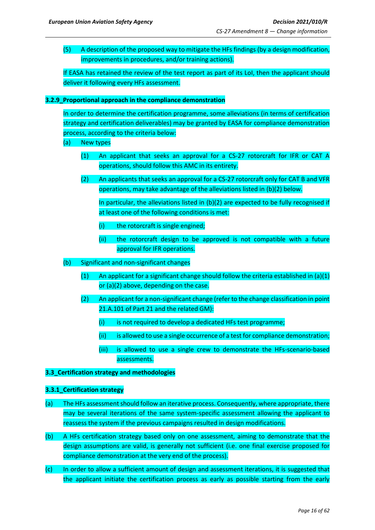(5) A description of the proposed way to mitigate the HFs findings (by a design modification, improvements in procedures, and/or training actions).

If EASA has retained the review of the test report as part of its LoI, then the applicant should deliver it following every HFs assessment.

### <span id="page-15-0"></span>**3.2.9\_Proportional approach in the compliance demonstration**

In order to determine the certification programme, some alleviations (in terms of certification strategy and certification deliverables) may be granted by EASA for compliance demonstration process, according to the criteria below:

- (a) New types
	- (1) An applicant that seeks an approval for a CS-27 rotorcraft for IFR or CAT A operations, should follow this AMC in its entirety.
	- (2) An applicants that seeks an approval for a CS-27 rotorcraft only for CAT B and VFR operations, may take advantage of the alleviations listed in (b)(2) below.

In particular, the alleviations listed in (b)(2) are expected to be fully recognised if at least one of the following conditions is met:

- (i) the rotorcraft is single engined;
- (ii) the rotorcraft design to be approved is not compatible with a future approval for IFR operations.
- (b) Significant and non-significant changes
	- (1) An applicant for a significant change should follow the criteria established in  $(a)(1)$ or (a)(2) above, depending on the case.
	- (2) An applicant for a non-significant change (refer to the change classification in point 21.A.101 of Part 21 and the related GM):
		- $(i)$  is not required to develop a dedicated HFs test programme;
		- $(i)$  is allowed to use a single occurrence of a test for compliance demonstration;
		- (iii) is allowed to use a single crew to demonstrate the HFs-scenario-based assessments.

### <span id="page-15-1"></span>**3.3\_Certification strategy and methodologies**

### **3.3.1\_Certification strategy**

- (a) The HFs assessment should follow an iterative process. Consequently, where appropriate, there may be several iterations of the same system-specific assessment allowing the applicant to reassess the system if the previous campaigns resulted in design modifications.
- (b) A HFs certification strategy based only on one assessment, aiming to demonstrate that the design assumptions are valid, is generally not sufficient (i.e. one final exercise proposed for compliance demonstration at the very end of the process).
- (c) In order to allow a sufficient amount of design and assessment iterations, it is suggested that the applicant initiate the certification process as early as possible starting from the early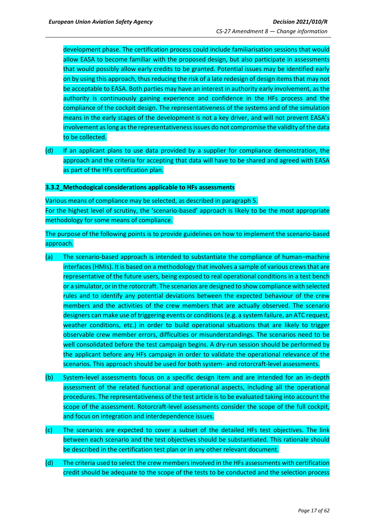development phase. The certification process could include familiarisation sessions that would allow EASA to become familiar with the proposed design, but also participate in assessments that would possibly allow early credits to be granted. Potential issues may be identified early on by using this approach, thus reducing the risk of a late redesign of design items that may not be acceptable to EASA. Both parties may have an interest in authority early involvement, as the authority is continuously gaining experience and confidence in the HFs process and the compliance of the cockpit design. The representativeness of the systems and of the simulation means in the early stages of the development is not a key driver, and will not prevent EASA's involvement as long as the representativenessissues do not compromise the validity of the data to be collected.

(d) If an applicant plans to use data provided by a supplier for compliance demonstration, the approach and the criteria for accepting that data will have to be shared and agreed with EASA as part of the HFs certification plan.

### <span id="page-16-0"></span>**3.3.2\_Methodogical considerations applicable to HFs assessments**

Various means of compliance may be selected, as described in paragraph 5. For the highest level of scrutiny, the 'scenario-based' approach is likely to be the most appropriate methodology for some means of compliance.

The purpose of the following points is to provide guidelines on how to implement the scenario-based approach.

- (a) The scenario-based approach is intended to substantiate the compliance of human–machine interfaces (HMIs). It is based on a methodology that involves a sample of various crews that are representative of the future users, being exposed to real operational conditions in a test bench or a simulator, or in the rotorcraft. The scenarios are designed to show compliance with selected rules and to identify any potential deviations between the expected behaviour of the crew members and the activities of the crew members that are actually observed. The scenario designers can make use of triggering events or conditions (e.g. a system failure, an ATC request, weather conditions, etc.) in order to build operational situations that are likely to trigger observable crew member errors, difficulties or misunderstandings. The scenarios need to be well consolidated before the test campaign begins. A dry-run session should be performed by the applicant before any HFs campaign in order to validate the operational relevance of the scenarios. This approach should be used for both system- and rotorcraft-level assessments.
- (b) System-level assessments focus on a specific design item and are intended for an in-depth assessment of the related functional and operational aspects, including all the operational procedures. The representativeness of the test article is to be evaluated taking into account the scope of the assessment. Rotorcraft-level assessments consider the scope of the full cockpit, and focus on integration and interdependence issues.
- (c) The scenarios are expected to cover a subset of the detailed HFs test objectives. The link between each scenario and the test objectives should be substantiated. This rationale should be described in the certification test plan or in any other relevant document.
- (d) The criteria used to select the crew members involved in the HFs assessments with certification credit should be adequate to the scope of the tests to be conducted and the selection process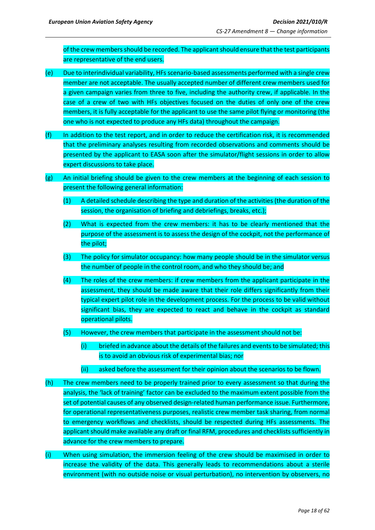of the crew members should be recorded. The applicant should ensure that the test participants are representative of the end users.

- (e) Due to interindividual variability, HFs scenario-based assessments performed with a single crew member are not acceptable. The usually accepted number of different crew members used for a given campaign varies from three to five, including the authority crew, if applicable. In the case of a crew of two with HFs objectives focused on the duties of only one of the crew members, it is fully acceptable for the applicant to use the same pilot flying or monitoring (the one who is not expected to produce any HFs data) throughout the campaign.
- (f) In addition to the test report, and in order to reduce the certification risk, it is recommended that the preliminary analyses resulting from recorded observations and comments should be presented by the applicant to EASA soon after the simulator/flight sessions in order to allow expert discussions to take place.
- (g) An initial briefing should be given to the crew members at the beginning of each session to present the following general information:
	- (1) A detailed schedule describing the type and duration of the activities (the duration of the session, the organisation of briefing and debriefings, breaks, etc.);
	- (2) What is expected from the crew members: it has to be clearly mentioned that the purpose of the assessment is to assess the design of the cockpit, not the performance of the pilot;
	- (3) The policy for simulator occupancy: how many people should be in the simulator versus the number of people in the control room, and who they should be; and
	- (4) The roles of the crew members: if crew members from the applicant participate in the assessment, they should be made aware that their role differs significantly from their typical expert pilot role in the development process. For the process to be valid without significant bias, they are expected to react and behave in the cockpit as standard operational pilots.
	- (5) However, the crew members that participate in the assessment should not be:
		- (i) briefed in advance about the details of the failures and events to be simulated; this is to avoid an obvious risk of experimental bias; nor
		- (ii) asked before the assessment for their opinion about the scenarios to be flown.
- (h) The crew members need to be properly trained prior to every assessment so that during the analysis, the 'lack of training' factor can be excluded to the maximum extent possible from the set of potential causes of any observed design-related human performance issue. Furthermore, for operational representativeness purposes, realistic crew member task sharing, from normal to emergency workflows and checklists, should be respected during HFs assessments. The applicant should make available any draft or final RFM, procedures and checklists sufficiently in advance for the crew members to prepare.
- (i) When using simulation, the immersion feeling of the crew should be maximised in order to increase the validity of the data. This generally leads to recommendations about a sterile environment (with no outside noise or visual perturbation), no intervention by observers, no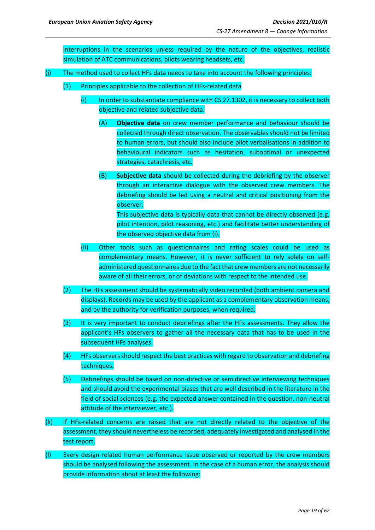interruptions in the scenarios unless required by the nature of the objectives, realistic simulation of ATC communications, pilots wearing headsets, etc.

- (j) The method used to collect HFs data needs to take into account the following principles:
	- (1) Principles applicable to the collection of HFs-related data
		- $(i)$  In order to substantiate compliance with CS 27.1302, it is necessary to collect both objective and related subjective data.
			- (A) **Objective data** on crew member performance and behaviour should be collected through direct observation. The observables should not be limited to human errors, but should also include pilot verbalisations in addition to behavioural indicators such as hesitation, suboptimal or unexpected strategies, catachresis, etc.
			- (B) **Subjective data** should be collected during the debriefing by the observer through an interactive dialogue with the observed crew members. The debriefing should be led using a neutral and critical positioning from the observer. This subjective data is typically data that cannot be directly observed (e.g. pilot intention, pilot reasoning, etc.) and facilitate better understanding of the observed objective data from (i).
		- (ii) Other tools such as questionnaires and rating scales could be used as complementary means. However, it is never sufficient to rely solely on selfadministered questionnaires due to the fact that crewmembers are not necessarily aware of all their errors, or of deviations with respect to the intended use.
	- (2) The HFs assessment should be systematically video recorded (both ambient camera and displays). Records may be used by the applicant as a complementary observation means, and by the authority for verification purposes, when required.
	- (3) It is very important to conduct debriefings after the HFs assessments. They allow the applicant's HFs observers to gather all the necessary data that has to be used in the subsequent HFs analyses.
	- (4) HFs observers should respect the best practices with regard to observation and debriefing techniques.
	- (5) Debriefings should be based on non-directive or semidirective interviewing techniques and should avoid the experimental biases that are well described in the literature in the field of social sciences (e.g. the expected answer contained in the question, non-neutral attitude of the interviewer, etc.).
- (k) If HFs-related concerns are raised that are not directly related to the objective of the assessment, they should nevertheless be recorded, adequately investigated and analysed in the test report.
- (l) Every design-related human performance issue observed or reported by the crew members should be analysed following the assessment. In the case of a human error, the analysis should provide information about at least the following: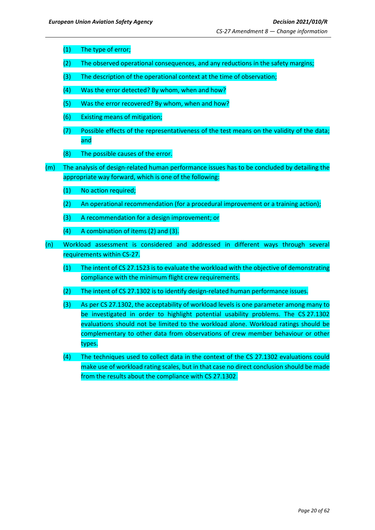- (1) The type of error;
- (2) The observed operational consequences, and any reductions in the safety margins;
- (3) The description of the operational context at the time of observation;
- (4) Was the error detected? By whom, when and how?
- (5) Was the error recovered? By whom, when and how?
- (6) Existing means of mitigation;
- (7) Possible effects of the representativeness of the test means on the validity of the data; and
- (8) The possible causes of the error.
- (m) The analysis of design-related human performance issues has to be concluded by detailing the appropriate way forward, which is one of the following:
	- (1) No action required;
	- (2) An operational recommendation (for a procedural improvement or a training action);
	- (3) A recommendation for a design improvement; or
	- $(4)$  A combination of items  $(2)$  and  $(3)$ .
- (n) Workload assessment is considered and addressed in different ways through several requirements within CS-27.
	- (1) The intent of CS 27.1523 is to evaluate the workload with the objective of demonstrating compliance with the minimum flight crew requirements.
	- (2) The intent of CS 27.1302 is to identify design-related human performance issues.
	- (3) As per CS 27.1302, the acceptability of workload levels is one parameter among many to be investigated in order to highlight potential usability problems. The CS 27.1302 evaluations should not be limited to the workload alone. Workload ratings should be complementary to other data from observations of crew member behaviour or other types.
	- (4) The techniques used to collect data in the context of the CS 27.1302 evaluations could make use of workload rating scales, but in that case no direct conclusion should be made from the results about the compliance with CS 27.1302.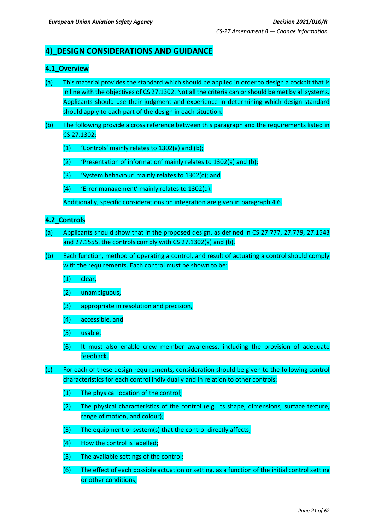## <span id="page-20-0"></span>**4)\_DESIGN CONSIDERATIONS AND GUIDANCE**

## <span id="page-20-1"></span>**4.1\_Overview**

- (a) This material provides the standard which should be applied in order to design a cockpit that is in line with the objectives of CS 27.1302. Not all the criteria can or should be met by all systems. Applicants should use their judgment and experience in determining which design standard should apply to each part of the design in each situation.
- (b) The following provide a cross reference between this paragraph and the requirements listed in CS 27.1302:
	- (1) 'Controls' mainly relates to 1302(a) and (b);
	- (2) 'Presentation of information' mainly relates to 1302(a) and (b);
	- (3) 'System behaviour' mainly relates to 1302(c); and
	- (4) 'Error management' mainly relates to 1302(d).

Additionally, specific considerations on integration are given in paragraph 4.6.

### <span id="page-20-2"></span>**4.2\_Controls**

- (a) Applicants should show that in the proposed design, as defined in CS 27.777, 27.779, 27.1543 and 27.1555, the controls comply with CS 27.1302(a) and (b).
- (b) Each function, method of operating a control, and result of actuating a control should comply with the requirements. Each control must be shown to be:
	- (1) clear,
	- (2) unambiguous,
	- (3) appropriate in resolution and precision,
	- (4) accessible, and
	- (5) usable.
	- (6) It must also enable crew member awareness, including the provision of adequate feedback.
- (c) For each of these design requirements, consideration should be given to the following control characteristics for each control individually and in relation to other controls:
	- (1) The physical location of the control;
	- (2) The physical characteristics of the control (e.g. its shape, dimensions, surface texture, range of motion, and colour);
	- (3) The equipment or system(s) that the control directly affects;
	- (4) How the control is labelled;
	- (5) The available settings of the control;
	- (6) The effect of each possible actuation or setting, as a function of the initial control setting or other conditions;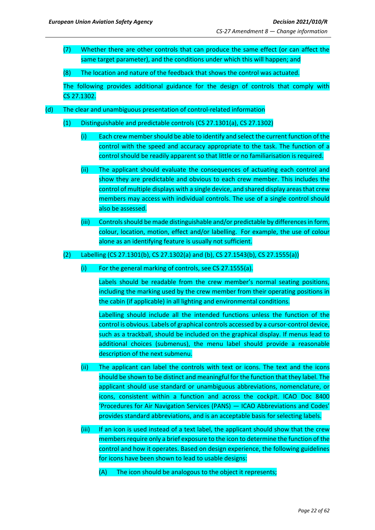(7) Whether there are other controls that can produce the same effect (or can affect the same target parameter), and the conditions under which this will happen; and

(8) The location and nature of the feedback that shows the control was actuated.

The following provides additional guidance for the design of controls that comply with CS 27.1302.

- (d) The clear and unambiguous presentation of control-related information
	- (1) Distinguishable and predictable controls (CS 27.1301(a), CS 27.1302)
		- (i) Each crew membershould be able to identify and select the current function of the control with the speed and accuracy appropriate to the task. The function of a control should be readily apparent so that little or no familiarisation is required.
		- (ii) The applicant should evaluate the consequences of actuating each control and show they are predictable and obvious to each crew member. This includes the control of multiple displays with a single device, and shared display areas that crew members may access with individual controls. The use of a single control should also be assessed.
		- (iii) Controls should be made distinguishable and/or predictable by differences in form, colour, location, motion, effect and/or labelling. For example, the use of colour alone as an identifying feature is usually not sufficient.

(2) Labelling (CS 27.1301(b), CS 27.1302(a) and (b), CS 27.1543(b), CS 27.1555(a))

(i) For the general marking of controls, see CS 27.1555(a).

Labels should be readable from the crew member's normal seating positions, including the marking used by the crew member from their operating positions in the cabin (if applicable) in all lighting and environmental conditions.

Labelling should include all the intended functions unless the function of the control is obvious. Labels of graphical controls accessed by a cursor-control device, such as a trackball, should be included on the graphical display. If menus lead to additional choices (submenus), the menu label should provide a reasonable description of the next submenu.

- (ii) The applicant can label the controls with text or icons. The text and the icons should be shown to be distinct and meaningful for the function that they label. The applicant should use standard or unambiguous abbreviations, nomenclature, or icons, consistent within a function and across the cockpit. ICAO Doc 8400 'Procedures for Air Navigation Services (PANS) — ICAO Abbreviations and Codes' provides standard abbreviations, and is an acceptable basis for selecting labels.
- (iii) If an icon is used instead of a text label, the applicant should show that the crew members require only a brief exposure to the icon to determine the function of the control and how it operates. Based on design experience, the following guidelines for icons have been shown to lead to usable designs:
	- (A) The icon should be analogous to the object it represents;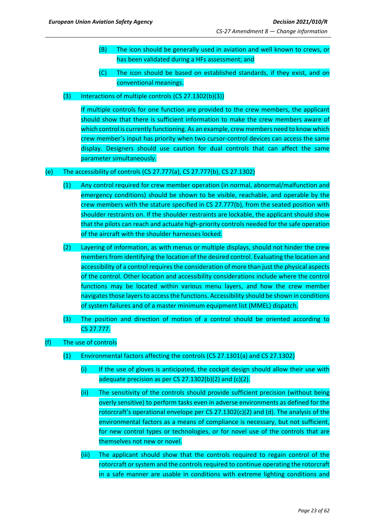- (B) The icon should be generally used in aviation and well known to crews, or has been validated during a HFs assessment; and
- (C) The icon should be based on established standards, if they exist, and on conventional meanings.
- (3) Interactions of multiple controls (CS 27.1302(b)(3))

If multiple controls for one function are provided to the crew members, the applicant should show that there is sufficient information to make the crew members aware of which control is currently functioning. As an example, crew members need to know which crew member's input has priority when two cursor-control devices can access the same display. Designers should use caution for dual controls that can affect the same parameter simultaneously.

### (e) The accessibility of controls (CS 27.777(a), CS 27.777(b), CS 27.1302)

- (1) Any control required for crew member operation (in normal, abnormal/malfunction and emergency conditions) should be shown to be visible, reachable, and operable by the crew members with the stature specified in CS 27.777(b), from the seated position with shoulder restraints on. If the shoulder restraints are lockable, the applicant should show that the pilots can reach and actuate high-priority controls needed for the safe operation of the aircraft with the shoulder harnesses locked.
- (2) Layering of information, as with menus or multiple displays, should not hinder the crew members from identifying the location of the desired control. Evaluating the location and accessibility of a control requires the consideration of more than just the physical aspects of the control. Other location and accessibility considerations include where the control functions may be located within various menu layers, and how the crew member navigates those layers to access the functions. Accessibility should be shown in conditions of system failures and of a master minimum equipment list (MMEL) dispatch.
- (3) The position and direction of motion of a control should be oriented according to CS 27.777.
- (f) The use of controls
	- (1) Environmental factors affecting the controls (CS 27.1301(a) and CS 27.1302)
		- (i) If the use of gloves is anticipated, the cockpit design should allow their use with adequate precision as per CS 27.1302(b)(2) and  $(c)(2)$ .
		- (ii) The sensitivity of the controls should provide sufficient precision (without being overly sensitive) to perform tasks even in adverse environments as defined for the rotorcraft's operational envelope per CS 27.1302(c)(2) and (d). The analysis of the environmental factors as a means of compliance is necessary, but not sufficient, for new control types or technologies, or for novel use of the controls that are themselves not new or novel.
		- (iii) The applicant should show that the controls required to regain control of the rotorcraft or system and the controls required to continue operating the rotorcraft in a safe manner are usable in conditions with extreme lighting conditions and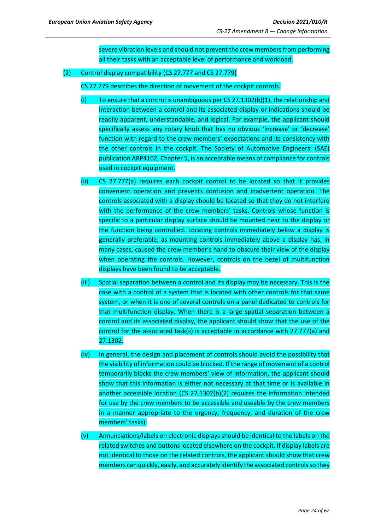severe vibration levels and should not prevent the crew members from performing all their tasks with an acceptable level of performance and workload.

(2) Control display compatibility (CS 27.777 and CS 27.779)

CS 27.779 describes the direction of movement of the cockpit controls.

- (i) To ensure that a control is unambiguous per CS 27.1302(b)(1), the relationship and interaction between a control and its associated display or indications should be readily apparent, understandable, and logical. For example, the applicant should specifically assess any rotary knob that has no obvious 'increase' or 'decrease' function with regard to the crew members' expectations and its consistency with the other controls in the cockpit. The Society of Automotive Engineers' (SAE) publication ARP4102, Chapter 5, is an acceptable means of compliance for controls used in cockpit equipment.
- (ii) CS 27.777(a) requires each cockpit control to be located so that it provides convenient operation and prevents confusion and inadvertent operation. The controls associated with a display should be located so that they do not interfere with the performance of the crew members' tasks. Controls whose function is specific to a particular display surface should be mounted near to the display or the function being controlled. Locating controls immediately below a display is generally preferable, as mounting controls immediately above a display has, in many cases, caused the crew member's hand to obscure their view of the display when operating the controls. However, controls on the bezel of multifunction displays have been found to be acceptable.
- (iii) Spatial separation between a control and its display may be necessary. This is the case with a control of a system that is located with other controls for that same system, or when it is one of several controls on a panel dedicated to controls for that multifunction display. When there is a large spatial separation between a control and its associated display, the applicant should show that the use of the control for the associated task(s) is acceptable in accordance with 27.777(a) and 27.1302.
- (iv) In general, the design and placement of controls should avoid the possibility that the visibility of information could be blocked. If the range of movement of a control temporarily blocks the crew members' view of information, the applicant should show that this information is either not necessary at that time or is available in another accessible location (CS 27.1302(b)(2) requires the information intended for use by the crew members to be accessible and useable by the crew members in a manner appropriate to the urgency, frequency, and duration of the crew members' tasks).
- (v) Annunciations/labels on electronic displays should be identical to the labels on the related switches and buttons located elsewhere on the cockpit. If display labels are not identical to those on the related controls, the applicant should show that crew members can quickly, easily, and accurately identify the associated controlsso they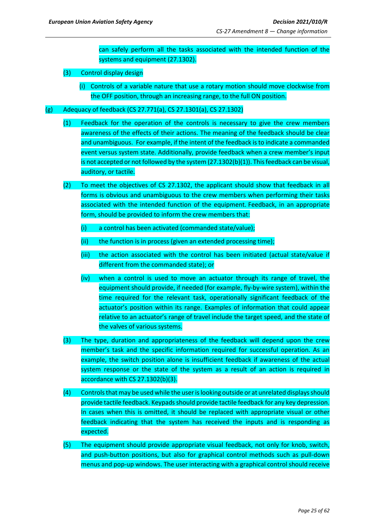can safely perform all the tasks associated with the intended function of the systems and equipment (27.1302).

- (3) Control display design
	- (i) Controls of a variable nature that use a rotary motion should move clockwise from the OFF position, through an increasing range, to the full ON position.
- (g) Adequacy of feedback (CS 27.771(a), CS 27.1301(a), CS 27.1302)
	- (1) Feedback for the operation of the controls is necessary to give the crew members awareness of the effects of their actions. The meaning of the feedback should be clear and unambiguous. For example, if the intent of the feedback is to indicate a commanded event versus system state. Additionally, provide feedback when a crew member's input is not accepted or not followed by the system (27.1302(b)(1)). This feedback can be visual, auditory, or tactile.
	- (2) To meet the objectives of CS 27.1302, the applicant should show that feedback in all forms is obvious and unambiguous to the crew members when performing their tasks associated with the intended function of the equipment. Feedback, in an appropriate form, should be provided to inform the crew members that:
		- (i) a control has been activated (commanded state/value);
		- (ii) the function is in process (given an extended processing time);
		- (iii) the action associated with the control has been initiated (actual state/value if different from the commanded state); or
		- (iv) when a control is used to move an actuator through its range of travel, the equipment should provide, if needed (for example, fly-by-wire system), within the time required for the relevant task, operationally significant feedback of the actuator's position within its range. Examples of information that could appear relative to an actuator's range of travel include the target speed, and the state of the valves of various systems.
	- (3) The type, duration and appropriateness of the feedback will depend upon the crew member's task and the specific information required for successful operation. As an example, the switch position alone is insufficient feedback if awareness of the actual system response or the state of the system as a result of an action is required in accordance with CS 27.1302(b)(3).
	- (4) Controls that may be used while the user is looking outside or at unrelated displays should provide tactile feedback. Keypads should provide tactile feedback for any key depression. In cases when this is omitted, it should be replaced with appropriate visual or other feedback indicating that the system has received the inputs and is responding as expected.
	- (5) The equipment should provide appropriate visual feedback, not only for knob, switch, and push-button positions, but also for graphical control methods such as pull-down menus and pop-up windows. The user interacting with a graphical control should receive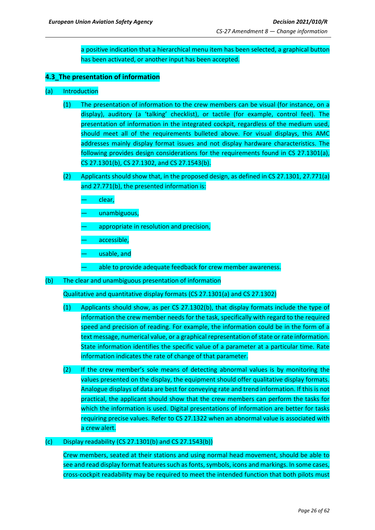a positive indication that a hierarchical menu item has been selected, a graphical button has been activated, or another input has been accepted.

## <span id="page-25-0"></span>**4.3\_The presentation of information**

- (a) Introduction
	- (1) The presentation of information to the crew members can be visual (for instance, on a display), auditory (a 'talking' checklist), or tactile (for example, control feel). The presentation of information in the integrated cockpit, regardless of the medium used, should meet all of the requirements bulleted above. For visual displays, this AMC addresses mainly display format issues and not display hardware characteristics. The following provides design considerations for the requirements found in CS 27.1301(a), CS 27.1301(b), CS 27.1302, and CS 27.1543(b).
	- (2) Applicants should show that, in the proposed design, as defined in CS 27.1301, 27.771(a) and 27.771(b), the presented information is:
		- clear,
		- unambiguous,
		- appropriate in resolution and precision,
		- accessible,
		- usable, and
		- able to provide adequate feedback for crew member awareness.
- (b) The clear and unambiguous presentation of information

Qualitative and quantitative display formats (CS 27.1301(a) and CS 27.1302)

- (1) Applicants should show, as per CS 27.1302(b), that display formats include the type of information the crew member needs for the task, specifically with regard to the required speed and precision of reading. For example, the information could be in the form of a text message, numerical value, or a graphical representation of state or rate information. State information identifies the specific value of a parameter at a particular time. Rate information indicates the rate of change of that parameter.
- (2) If the crew member's sole means of detecting abnormal values is by monitoring the values presented on the display, the equipment should offer qualitative display formats. Analogue displays of data are best for conveying rate and trend information. If this is not practical, the applicant should show that the crew members can perform the tasks for which the information is used. Digital presentations of information are better for tasks requiring precise values. Refer to CS 27.1322 when an abnormal value is associated with a crew alert.

### $(c)$  Display readability (CS 27.1301(b) and CS 27.1543(b))

Crew members, seated at their stations and using normal head movement, should be able to see and read display format features such as fonts, symbols, icons and markings. In some cases, cross-cockpit readability may be required to meet the intended function that both pilots must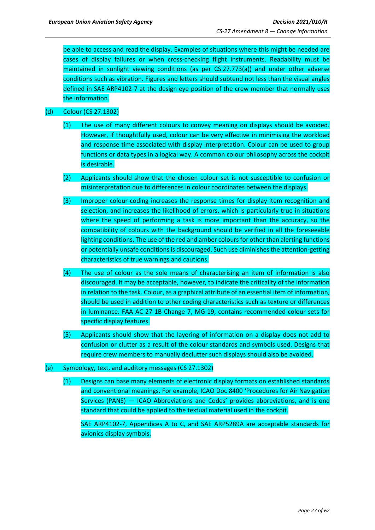be able to access and read the display. Examples of situations where this might be needed are cases of display failures or when cross-checking flight instruments. Readability must be maintained in sunlight viewing conditions (as per CS 27.773(a)) and under other adverse conditions such as vibration. Figures and letters should subtend not less than the visual angles defined in SAE ARP4102-7 at the design eye position of the crew member that normally uses the information.

## (d) Colour (CS 27.1302)

- (1) The use of many different colours to convey meaning on displays should be avoided. However, if thoughtfully used, colour can be very effective in minimising the workload and response time associated with display interpretation. Colour can be used to group functions or data types in a logical way. A common colour philosophy across the cockpit is desirable.
- (2) Applicants should show that the chosen colour set is not susceptible to confusion or misinterpretation due to differences in colour coordinates between the displays.
- (3) Improper colour-coding increases the response times for display item recognition and selection, and increases the likelihood of errors, which is particularly true in situations where the speed of performing a task is more important than the accuracy, so the compatibility of colours with the background should be verified in all the foreseeable lighting conditions. The use of the red and amber colours for other than alerting functions or potentially unsafe conditions is discouraged. Such use diminishes the attention-getting characteristics of true warnings and cautions.
- (4) The use of colour as the sole means of characterising an item of information is also discouraged. It may be acceptable, however, to indicate the criticality of the information in relation to the task. Colour, as a graphical attribute of an essential item of information, should be used in addition to other coding characteristics such as texture or differences in luminance. FAA AC 27-1B Change 7, MG-19, contains recommended colour sets for specific display features.
- (5) Applicants should show that the layering of information on a display does not add to confusion or clutter as a result of the colour standards and symbols used. Designs that require crew members to manually declutter such displays should also be avoided.
- (e) Symbology, text, and auditory messages (CS 27.1302)
	- (1) Designs can base many elements of electronic display formats on established standards and conventional meanings. For example, ICAO Doc 8400 'Procedures for Air Navigation Services (PANS) — ICAO Abbreviations and Codes' provides abbreviations, and is one standard that could be applied to the textual material used in the cockpit.

SAE ARP4102-7, Appendices A to C, and SAE ARP5289A are acceptable standards for avionics display symbols.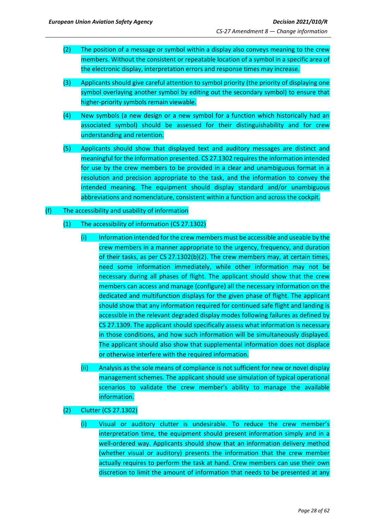- (2) The position of a message or symbol within a display also conveys meaning to the crew members. Without the consistent or repeatable location of a symbol in a specific area of the electronic display, interpretation errors and response times may increase.
- (3) Applicants should give careful attention to symbol priority (the priority of displaying one symbol overlaying another symbol by editing out the secondary symbol) to ensure that higher-priority symbols remain viewable.
- (4) New symbols (a new design or a new symbol for a function which historically had an associated symbol) should be assessed for their distinguishability and for crew understanding and retention.
- (5) Applicants should show that displayed text and auditory messages are distinct and meaningful for the information presented. CS 27.1302 requires the information intended for use by the crew members to be provided in a clear and unambiguous format in a resolution and precision appropriate to the task, and the information to convey the intended meaning. The equipment should display standard and/or unambiguous abbreviations and nomenclature, consistent within a function and across the cockpit.

### (f) The accessibility and usability of information

### (1) The accessibility of information (CS 27.1302)

- (i) Information intended for the crew members must be accessible and useable by the crew members in a manner appropriate to the urgency, frequency, and duration of their tasks, as per CS 27.1302(b)(2). The crew members may, at certain times, need some information immediately, while other information may not be necessary during all phases of flight. The applicant should show that the crew members can access and manage (configure) all the necessary information on the dedicated and multifunction displays for the given phase of flight. The applicant should show that any information required for continued safe flight and landing is accessible in the relevant degraded display modes following failures as defined by CS 27.1309. The applicant should specifically assess what information is necessary in those conditions, and how such information will be simultaneously displayed. The applicant should also show that supplemental information does not displace or otherwise interfere with the required information.
- (ii) Analysis as the sole means of compliance is not sufficient for new or novel display management schemes. The applicant should use simulation of typical operational scenarios to validate the crew member's ability to manage the available information.
- (2) Clutter (CS 27.1302)
	- (i) Visual or auditory clutter is undesirable. To reduce the crew member's interpretation time, the equipment should present information simply and in a well-ordered way. Applicants should show that an information delivery method (whether visual or auditory) presents the information that the crew member actually requires to perform the task at hand. Crew members can use their own discretion to limit the amount of information that needs to be presented at any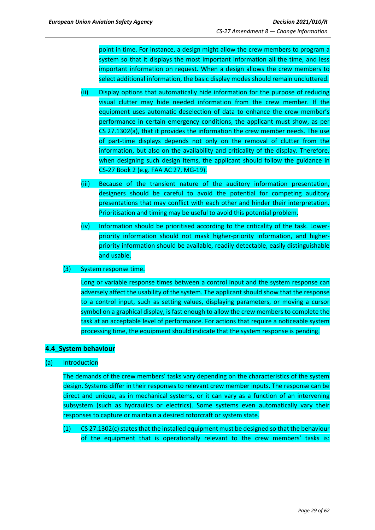point in time. For instance, a design might allow the crew members to program a system so that it displays the most important information all the time, and less important information on request. When a design allows the crew members to select additional information, the basic display modes should remain uncluttered.

- (ii) Display options that automatically hide information for the purpose of reducing visual clutter may hide needed information from the crew member. If the equipment uses automatic deselection of data to enhance the crew member's performance in certain emergency conditions, the applicant must show, as per CS 27.1302(a), that it provides the information the crew member needs. The use of part-time displays depends not only on the removal of clutter from the information, but also on the availability and criticality of the display. Therefore, when designing such design items, the applicant should follow the guidance in CS-27 Book 2 (e.g. FAA AC 27, MG-19).
- (iii) Because of the transient nature of the auditory information presentation, designers should be careful to avoid the potential for competing auditory presentations that may conflict with each other and hinder their interpretation. Prioritisation and timing may be useful to avoid this potential problem.
- (iv) Information should be prioritised according to the criticality of the task. Lowerpriority information should not mask higher-priority information, and higherpriority information should be available, readily detectable, easily distinguishable and usable.
- (3) System response time.

Long or variable response times between a control input and the system response can adversely affect the usability of the system. The applicant should show that the response to a control input, such as setting values, displaying parameters, or moving a cursor symbol on a graphical display, is fast enough to allow the crew members to complete the task at an acceptable level of performance. For actions that require a noticeable system processing time, the equipment should indicate that the system response is pending.

## <span id="page-28-0"></span>**4.4\_System behaviour**

## (a) Introduction

The demands of the crew members' tasks vary depending on the characteristics of the system design. Systems differ in their responses to relevant crew member inputs. The response can be direct and unique, as in mechanical systems, or it can vary as a function of an intervening subsystem (such as hydraulics or electrics). Some systems even automatically vary their responses to capture or maintain a desired rotorcraft or system state.

(1) CS 27.1302(c) states that the installed equipment must be designed so that the behaviour of the equipment that is operationally relevant to the crew members' tasks is: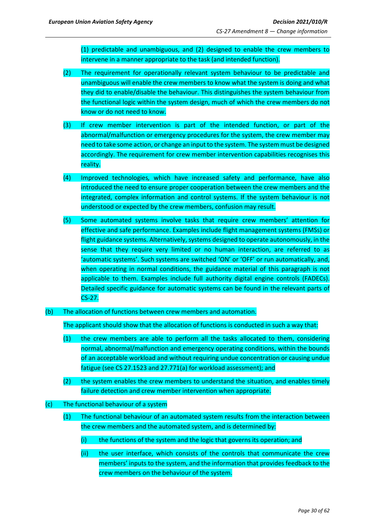(1) predictable and unambiguous, and (2) designed to enable the crew members to intervene in a manner appropriate to the task (and intended function).

- (2) The requirement for operationally relevant system behaviour to be predictable and unambiguous will enable the crew members to know what the system is doing and what they did to enable/disable the behaviour. This distinguishes the system behaviour from the functional logic within the system design, much of which the crew members do not know or do not need to know.
- (3) If crew member intervention is part of the intended function, or part of the abnormal/malfunction or emergency procedures for the system, the crew member may need to take some action, or change an input to the system. The system must be designed accordingly. The requirement for crew member intervention capabilities recognises this reality.
- (4) Improved technologies*,* which have increased safety and performance*,* have also introduced the need to ensure proper cooperation between the crew members and the integrated, complex information and control systems. If the system behaviour is not understood or expected by the crew members, confusion may result.
- (5) Some automated systems involve tasks that require crew members' attention for effective and safe performance. Examples include flight management systems (FMSs) or flight guidance systems. Alternatively, systems designed to operate autonomously, in the sense that they require very limited or no human interaction, are referred to as 'automatic systems'. Such systems are switched 'ON' or 'OFF' or run automatically, and, when operating in normal conditions, the guidance material of this paragraph is not applicable to them. Examples include full authority digital engine controls (FADECs). Detailed specific guidance for automatic systems can be found in the relevant parts of CS-27.
- (b) The allocation of functions between crew members and automation.

The applicant should show that the allocation of functions is conducted in such a way that:

- (1) the crew members are able to perform all the tasks allocated to them, considering normal, abnormal/malfunction and emergency operating conditions, within the bounds of an acceptable workload and without requiring undue concentration or causing undue fatigue (see CS 27.1523 and 27.771(a) for workload assessment); and
- (2) the system enables the crew members to understand the situation, and enables timely failure detection and crew member intervention when appropriate.
- (c) The functional behaviour of a system
	- (1) The functional behaviour of an automated system results from the interaction between the crew members and the automated system, and is determined by:
		- (i) the functions of the system and the logic that governs its operation; and
		- (ii) the user interface, which consists of the controls that communicate the crew members' inputs to the system, and the information that provides feedback to the crew members on the behaviour of the system.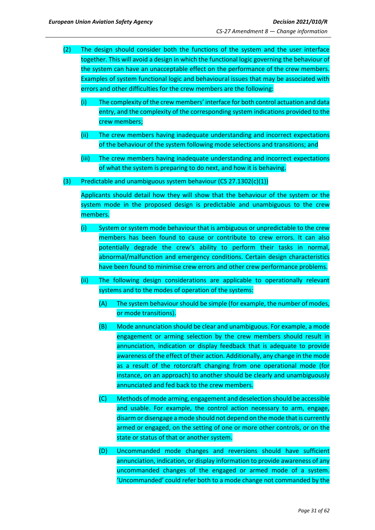- (2) The design should consider both the functions of the system and the user interface together. This will avoid a design in which the functional logic governing the behaviour of the system can have an unacceptable effect on the performance of the crew members. Examples of system functional logic and behavioural issues that may be associated with errors and other difficulties for the crew members are the following:
	- (i) The complexity of the crew members' interface for both control actuation and data entry, and the complexity of the corresponding system indications provided to the crew members;
	- (ii) The crew members having inadequate understanding and incorrect expectations of the behaviour of the system following mode selections and transitions; and
	- (iii) The crew members having inadequate understanding and incorrect expectations of what the system is preparing to do next, and how it is behaving.
- (3) Predictable and unambiguous system behaviour (CS 27.1302(c)(1))

Applicants should detail how they will show that the behaviour of the system or the system mode in the proposed design is predictable and unambiguous to the crew members.

- (i) System or system mode behaviour that is ambiguous or unpredictable to the crew members has been found to cause or contribute to crew errors. It can also potentially degrade the crew's ability to perform their tasks in normal, abnormal/malfunction and emergency conditions. Certain design characteristics have been found to minimise crew errors and other crew performance problems.
- (ii) The following design considerations are applicable to operationally relevant systems and to the modes of operation of the systems:
	- (A) The system behaviour should be simple (for example, the number of modes, or mode transitions).
	- (B) Mode annunciation should be clear and unambiguous. For example, a mode engagement or arming selection by the crew members should result in annunciation, indication or display feedback that is adequate to provide awareness of the effect of their action. Additionally, any change in the mode as a result of the rotorcraft changing from one operational mode (for instance, on an approach) to another should be clearly and unambiguously annunciated and fed back to the crew members.
	- (C) Methods of mode arming, engagement and deselection should be accessible and usable. For example, the control action necessary to arm, engage, disarm or disengage a mode should not depend on the mode that is currently armed or engaged, on the setting of one or more other controls, or on the state or status of that or another system.
	- (D) Uncommanded mode changes and reversions should have sufficient annunciation, indication, or display information to provide awareness of any uncommanded changes of the engaged or armed mode of a system. 'Uncommanded' could refer both to a mode change not commanded by the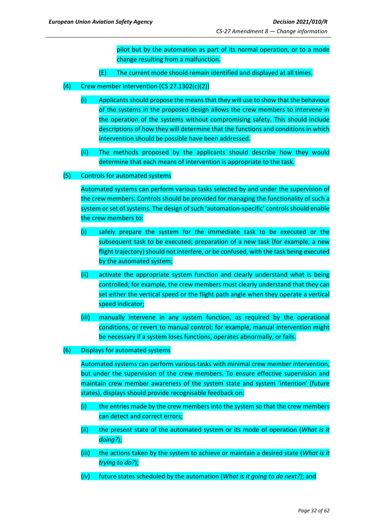pilot but by the automation as part of its normal operation, or to a mode change resulting from a malfunction.

- (E) The current mode should remain identified and displayed at all times.
- (4) Crew member intervention  $(CS 27.1302(c)(2))$ 
	- (i) Applicants should propose the means that they will use to show that the behaviour of the systems in the proposed design allows the crew members to intervene in the operation of the systems without compromising safety. This should include descriptions of how they will determine that the functions and conditions in which intervention should be possible have been addressed.
	- (ii) The methods proposed by the applicants should describe how they would determine that each means of intervention is appropriate to the task.
- (5) Controls for automated systems

Automated systems can perform various tasks selected by and under the supervision of the crew members. Controls should be provided for managing the functionality of such a system or set of systems. The design of such 'automation-specific' controls should enable the crew members to:

- (i) safely prepare the system for the immediate task to be executed or the subsequent task to be executed; preparation of a new task (for example, a new flight trajectory) should not interfere, or be confused, with the task being executed by the automated system;
- (ii) activate the appropriate system function and clearly understand what is being controlled; for example, the crew members must clearly understand that they can set either the vertical speed or the flight path angle when they operate a vertical speed indicator;
- (iii) manually intervene in any system function, as required by the operational conditions, or revert to manual control; for example, manual intervention might be necessary if a system loses functions, operates abnormally, or fails.
- (6) Displays for automated systems

Automated systems can perform various tasks with minimal crew member intervention, but under the supervision of the crew members. To ensure effective supervision and maintain crew member awareness of the system state and system 'intention' (future states), displays should provide recognisable feedback on:

- $(i)$  the entries made by the crew members into the system so that the crew members can detect and correct errors;
- (ii) the present state of the automated system or its mode of operation (*What is it doing?*);
- (iii) the actions taken by the system to achieve or maintain a desired state (*What is it trying to do?*);
- (iv) future states scheduled by the automation (*What is it going to do next?*); and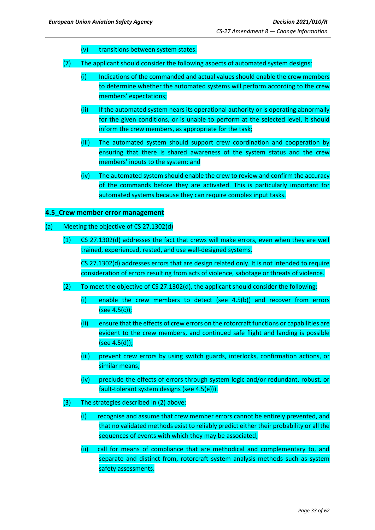- (v) transitions between system states.
- (7) The applicant should consider the following aspects of automated system designs:
	- (i) Indications of the commanded and actual values should enable the crew members to determine whether the automated systems will perform according to the crew members' expectations;
	- (ii) If the automated system nears its operational authority or is operating abnormally for the given conditions, or is unable to perform at the selected level, it should inform the crew members, as appropriate for the task;
	- (iii) The automated system should support crew coordination and cooperation by ensuring that there is shared awareness of the system status and the crew members' inputs to the system; and
	- (iv) The automated system should enable the crew to review and confirm the accuracy of the commands before they are activated. This is particularly important for automated systems because they can require complex input tasks.

### <span id="page-32-0"></span>**4.5\_Crew member error management**

### (a) Meeting the objective of CS 27.1302(d)

(1) CS 27.1302(d) addresses the fact that crews will make errors, even when they are well trained, experienced, rested, and use well-designed systems.

CS 27.1302(d) addresses errors that are design related only. It is not intended to require consideration of errors resulting from acts of violence, sabotage or threats of violence.

- (2) To meet the objective of CS 27.1302(d), the applicant should consider the following:
	- (i) enable the crew members to detect (see 4.5(b)) and recover from errors (see 4.5(c));
	- (ii) ensure that the effects of crew errors on the rotorcraft functions or capabilities are evident to the crew members, and continued safe flight and landing is possible (see 4.5(d));
	- (iii) prevent crew errors by using switch guards, interlocks, confirmation actions, or similar means;
	- (iv) preclude the effects of errors through system logic and/or redundant, robust, or fault-tolerant system designs (see 4.5(e))).
- (3) The strategies described in (2) above:
	- (i) recognise and assume that crew member errors cannot be entirely prevented, and that no validated methods exist to reliably predict either their probability or all the sequences of events with which they may be associated;
	- (ii) call for means of compliance that are methodical and complementary to, and separate and distinct from, rotorcraft system analysis methods such as system safety assessments.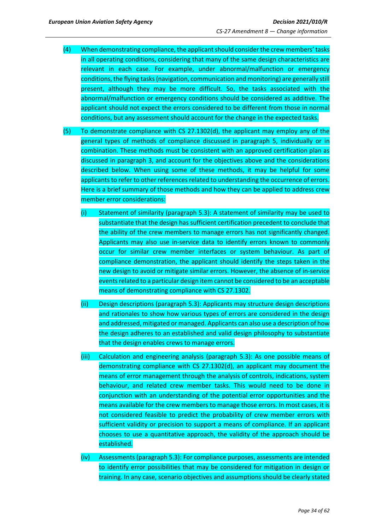- (4) When demonstrating compliance, the applicant should consider the crew members' tasks in all operating conditions, considering that many of the same design characteristics are relevant in each case. For example, under abnormal/malfunction or emergency conditions, the flying tasks (navigation, communication and monitoring) are generally still present, although they may be more difficult. So, the tasks associated with the abnormal/malfunction or emergency conditions should be considered as additive. The applicant should not expect the errors considered to be different from those in normal conditions, but any assessment should account for the change in the expected tasks.
- (5) To demonstrate compliance with CS 27.1302(d), the applicant may employ any of the general types of methods of compliance discussed in paragraph 5, individually or in combination. These methods must be consistent with an approved certification plan as discussed in paragraph 3, and account for the objectives above and the considerations described below. When using some of these methods, it may be helpful for some applicants to refer to other references related to understanding the occurrence of errors. Here is a brief summary of those methods and how they can be applied to address crew member error considerations:
	- (i) Statement of similarity (paragraph 5.3): A statement of similarity may be used to substantiate that the design has sufficient certification precedent to conclude that the ability of the crew members to manage errors has not significantly changed. Applicants may also use in-service data to identify errors known to commonly occur for similar crew member interfaces or system behaviour. As part of compliance demonstration, the applicant should identify the steps taken in the new design to avoid or mitigate similar errors. However, the absence of in-service events related to a particular design item cannot be considered to be an acceptable means of demonstrating compliance with CS 27.1302.
	- (ii) Design descriptions (paragraph 5.3): Applicants may structure design descriptions and rationales to show how various types of errors are considered in the design and addressed, mitigated or managed. Applicants can also use a description of how the design adheres to an established and valid design philosophy to substantiate that the design enables crews to manage errors.
	- (iii) Calculation and engineering analysis (paragraph 5.3): As one possible means of demonstrating compliance with CS 27.1302(d), an applicant may document the means of error management through the analysis of controls, indications, system behaviour, and related crew member tasks. This would need to be done in conjunction with an understanding of the potential error opportunities and the means available for the crew members to manage those errors. In most cases, it is not considered feasible to predict the probability of crew member errors with sufficient validity or precision to support a means of compliance. If an applicant chooses to use a quantitative approach, the validity of the approach should be established.
	- (iv) Assessments (paragraph 5.3): For compliance purposes, assessments are intended to identify error possibilities that may be considered for mitigation in design or training. In any case, scenario objectives and assumptions should be clearly stated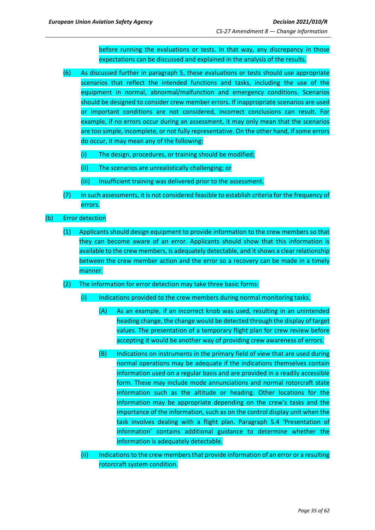before running the evaluations or tests. In that way, any discrepancy in those expectations can be discussed and explained in the analysis of the results.

- (6) As discussed further in paragraph 5, these evaluations or tests should use appropriate scenarios that reflect the intended functions and tasks, including the use of the equipment in normal, abnormal/malfunction and emergency conditions. Scenarios should be designed to consider crew member errors. If inappropriate scenarios are used or important conditions are not considered, incorrect conclusions can result. For example, if no errors occur during an assessment, it may only mean that the scenarios are too simple, incomplete, or not fully representative. On the other hand, if some errors do occur, it may mean any of the following:
	- (i) The design, procedures, or training should be modified;
	- (ii) The scenarios are unrealistically challenging; or
	- (iii) Insufficient training was delivered prior to the assessment.
- (7) In such assessments, it is not considered feasible to establish criteria for the frequency of errors.
- (b) Error detection
	- (1) Applicants should design equipment to provide information to the crew members so that they can become aware of an error. Applicants should show that this information is available to the crew members, is adequately detectable, and it shows a clear relationship between the crew member action and the error so a recovery can be made in a timely manner.
	- (2) The information for error detection may take three basic forms:
		- (i) Indications provided to the crew members during normal monitoring tasks.
			- (A) As an example, if an incorrect knob was used, resulting in an unintended heading change, the change would be detected through the display of target values. The presentation of a temporary flight plan for crew review before accepting it would be another way of providing crew awareness of errors.
			- (B) Indications on instruments in the primary field of view that are used during normal operations may be adequate if the indications themselves contain information used on a regular basis and are provided in a readily accessible form. These may include mode annunciations and normal rotorcraft state information such as the altitude or heading. Other locations for the information may be appropriate depending on the crew's tasks and the importance of the information, such as on the control display unit when the task involves dealing with a flight plan. Paragraph 5.4 'Presentation of information' contains additional guidance to determine whether the information is adequately detectable.
		- (ii) Indications to the crew membersthat provide information of an error or a resulting rotorcraft system condition.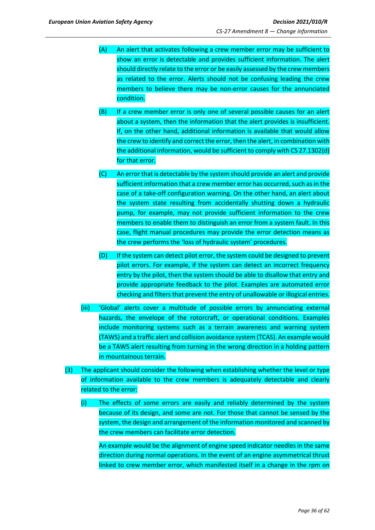- (A) An alert that activates following a crew member error may be sufficient to show an error is detectable and provides sufficient information. The alert should directly relate to the error or be easily assessed by the crew members as related to the error. Alerts should not be confusing leading the crew members to believe there may be non-error causes for the annunciated condition.
- (B) If a crew member error is only one of several possible causes for an alert about a system, then the information that the alert provides is insufficient. If, on the other hand, additional information is available that would allow the crew to identify and correct the error, then the alert, in combination with the additional information, would be sufficient to comply with CS 27.1302(d) for that error.
- (C) An error that is detectable by the system should provide an alert and provide sufficient information that a crew member error has occurred, such as in the case of a take-off configuration warning. On the other hand, an alert about the system state resulting from accidentally shutting down a hydraulic pump, for example, may not provide sufficient information to the crew members to enable them to distinguish an error from a system fault. In this case, flight manual procedures may provide the error detection means as the crew performs the 'loss of hydraulic system' procedures.
- (D) If the system can detect pilot error, the system could be designed to prevent pilot errors. For example, if the system can detect an incorrect frequency entry by the pilot, then the system should be able to disallow that entry and provide appropriate feedback to the pilot. Examples are automated error checking and filters that prevent the entry of unallowable or illogical entries.
- (iii) 'Global' alerts cover a multitude of possible errors by annunciating external hazards, the envelope of the rotorcraft, or operational conditions. Examples include monitoring systems such as a terrain awareness and warning system (TAWS) and a traffic alert and collision avoidance system (TCAS). An example would be a TAWS alert resulting from turning in the wrong direction in a holding pattern in mountainous terrain.
- (3) The applicant should consider the following when establishing whether the level or type of information available to the crew members is adequately detectable and clearly related to the error:
	- (i) The effects of some errors are easily and reliably determined by the system because of its design, and some are not. For those that cannot be sensed by the system, the design and arrangement of the information monitored and scanned by the crew members can facilitate error detection.

An example would be the alignment of engine speed indicator needles in the same direction during normal operations. In the event of an engine asymmetrical thrust linked to crew member error, which manifested itself in a change in the rpm on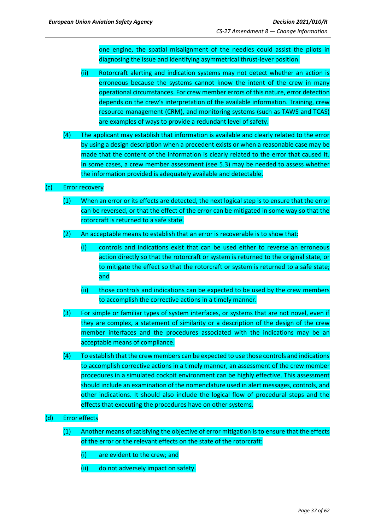one engine, the spatial misalignment of the needles could assist the pilots in diagnosing the issue and identifying asymmetrical thrust-lever position.

- (ii) Rotorcraft alerting and indication systems may not detect whether an action is erroneous because the systems cannot know the intent of the crew in many operational circumstances. For crew member errors of this nature, error detection depends on the crew's interpretation of the available information. Training, crew resource management (CRM), and monitoring systems (such as TAWS and TCAS) are examples of ways to provide a redundant level of safety.
- (4) The applicant may establish that information is available and clearly related to the error by using a design description when a precedent exists or when a reasonable case may be made that the content of the information is clearly related to the error that caused it. In some cases, a crew member assessment (see 5.3) may be needed to assess whether the information provided is adequately available and detectable.

### (c) Error recovery

- (1) When an error or its effects are detected, the next logical step is to ensure that the error can be reversed, or that the effect of the error can be mitigated in some way so that the rotorcraft is returned to a safe state.
- (2) An acceptable means to establish that an error is recoverable is to show that:
	- (i) controls and indications exist that can be used either to reverse an erroneous action directly so that the rotorcraft or system is returned to the original state, or to mitigate the effect so that the rotorcraft or system is returned to a safe state; and
	- (ii) those controls and indications can be expected to be used by the crew members to accomplish the corrective actions in a timely manner.
- (3) For simple or familiar types of system interfaces, or systems that are not novel, even if they are complex, a statement of similarity or a description of the design of the crew member interfaces and the procedures associated with the indications may be an acceptable means of compliance.
- (4) To establish that the crewmembers can be expected to use those controls and indications to accomplish corrective actions in a timely manner, an assessment of the crew member procedures in a simulated cockpit environment can be highly effective. This assessment should include an examination of the nomenclature used in alert messages, controls, and other indications. It should also include the logical flow of procedural steps and the effects that executing the procedures have on other systems.

### (d) Error effects

- (1) Another means of satisfying the objective of error mitigation is to ensure that the effects of the error or the relevant effects on the state of the rotorcraft:
	- (i) are evident to the crew; and
	- (ii) do not adversely impact on safety.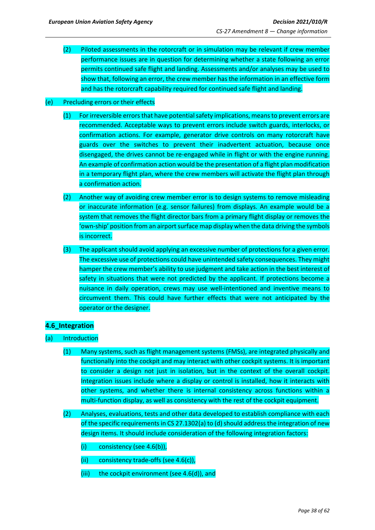(2) Piloted assessments in the rotorcraft or in simulation may be relevant if crew member performance issues are in question for determining whether a state following an error permits continued safe flight and landing. Assessments and/or analyses may be used to show that, following an error, the crew member has the information in an effective form and has the rotorcraft capability required for continued safe flight and landing.

### (e) Precluding errors or their effects

- (1) For irreversible errors that have potential safety implications, means to prevent errors are recommended. Acceptable ways to prevent errors include switch guards, interlocks, or confirmation actions. For example, generator drive controls on many rotorcraft have guards over the switches to prevent their inadvertent actuation, because once disengaged, the drives cannot be re-engaged while in flight or with the engine running. An example of confirmation action would be the presentation of a flight plan modification in a temporary flight plan, where the crew members will activate the flight plan through a confirmation action.
- (2) Another way of avoiding crew member error is to design systems to remove misleading or inaccurate information (e.g. sensor failures) from displays. An example would be a system that removes the flight director bars from a primary flight display or removes the 'own-ship' position from an airport surface map display when the data driving the symbols is incorrect.
- (3) The applicant should avoid applying an excessive number of protections for a given error. The excessive use of protections could have unintended safety consequences. They might hamper the crew member's ability to use judgment and take action in the best interest of safety in situations that were not predicted by the applicant. If protections become a nuisance in daily operation, crews may use well-intentioned and inventive means to circumvent them. This could have further effects that were not anticipated by the operator or the designer.

### <span id="page-37-0"></span>**4.6\_Integration**

- (a) Introduction
	- (1) Many systems, such as flight management systems (FMSs), are integrated physically and functionally into the cockpit and may interact with other cockpit systems. It is important to consider a design not just in isolation, but in the context of the overall cockpit. Integration issues include where a display or control is installed, how it interacts with other systems, and whether there is internal consistency across functions within a multi-function display, as well as consistency with the rest of the cockpit equipment.
	- (2) Analyses, evaluations, tests and other data developed to establish compliance with each of the specific requirements in CS 27.1302(a) to (d) should address the integration of new design items. It should include consideration of the following integration factors:
		- (i) consistency (see 4.6(b)),
		- (ii) consistency trade-offs (see 4.6(c)),
		- (iii) the cockpit environment (see 4.6(d)), and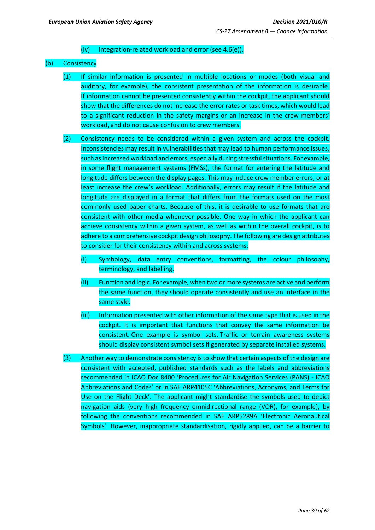### (iv) integration-related workload and error (see 4.6(e)).

### (b) Consistency

- (1) If similar information is presented in multiple locations or modes (both visual and auditory, for example), the consistent presentation of the information is desirable. If information cannot be presented consistently within the cockpit, the applicant should show that the differences do not increase the error rates or task times, which would lead to a significant reduction in the safety margins or an increase in the crew members' workload, and do not cause confusion to crew members.
- (2) Consistency needs to be considered within a given system and across the cockpit. Inconsistencies may result in vulnerabilities that may lead to human performance issues, such as increased workload and errors, especially during stressful situations. For example, in some flight management systems (FMSs), the format for entering the latitude and longitude differs between the display pages. This may induce crew member errors, or at least increase the crew's workload. Additionally, errors may result if the latitude and longitude are displayed in a format that differs from the formats used on the most commonly used paper charts. Because of this, it is desirable to use formats that are consistent with other media whenever possible. One way in which the applicant can achieve consistency within a given system, as well as within the overall cockpit, is to adhere to a comprehensive cockpit design philosophy. The following are design attributes to consider for their consistency within and across systems:
	- (i) Symbology, data entry conventions, formatting, the colour philosophy, terminology, and labelling.
	- (ii) Function and logic. For example, when two or more systems are active and perform the same function, they should operate consistently and use an interface in the same style.
	- (iii) Information presented with other information of the same type that is used in the cockpit. It is important that functions that convey the same information be consistent. One example is symbol sets. Traffic or terrain awareness systems should display consistent symbol sets if generated by separate installed systems.
- (3) Another way to demonstrate consistency is to show that certain aspects of the design are consistent with accepted, published standards such as the labels and abbreviations recommended in ICAO Doc 8400 'Procedures for Air Navigation Services (PANS) - ICAO Abbreviations and Codes' or in SAE ARP4105C 'Abbreviations, Acronyms, and Terms for Use on the Flight Deck'. The applicant might standardise the symbols used to depict navigation aids (very high frequency omnidirectional range (VOR), for example), by following the conventions recommended in SAE ARP5289A 'Electronic Aeronautical Symbols'. However, inappropriate standardisation, rigidly applied, can be a barrier to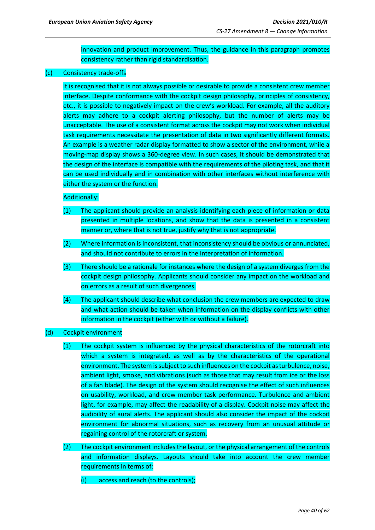innovation and product improvement. Thus, the guidance in this paragraph promotes consistency rather than rigid standardisation.

### (c) Consistency trade-offs

It is recognised that it is not always possible or desirable to provide a consistent crew member interface. Despite conformance with the cockpit design philosophy, principles of consistency, etc., it is possible to negatively impact on the crew's workload. For example, all the auditory alerts may adhere to a cockpit alerting philosophy, but the number of alerts may be unacceptable. The use of a consistent format across the cockpit may not work when individual task requirements necessitate the presentation of data in two significantly different formats. An example is a weather radar display formatted to show a sector of the environment, while a moving-map display shows a 360-degree view. In such cases, it should be demonstrated that the design of the interface is compatible with the requirements of the piloting task, and that it can be used individually and in combination with other interfaces without interference with either the system or the function.

### Additionally:

- (1) The applicant should provide an analysis identifying each piece of information or data presented in multiple locations, and show that the data is presented in a consistent manner or, where that is not true, justify why that is not appropriate.
- (2) Where information is inconsistent, that inconsistency should be obvious or annunciated, and should not contribute to errors in the interpretation of information.
- (3) There should be a rationale for instances where the design of a system diverges from the cockpit design philosophy. Applicants should consider any impact on the workload and on errors as a result of such divergences.
- (4) The applicant should describe what conclusion the crew members are expected to draw and what action should be taken when information on the display conflicts with other information in the cockpit (either with or without a failure).
- (d) Cockpit environment
	- (1) The cockpit system is influenced by the physical characteristics of the rotorcraft into which a system is integrated, as well as by the characteristics of the operational environment. The system is subject to such influences on the cockpit as turbulence, noise, ambient light, smoke, and vibrations (such as those that may result from ice or the loss of a fan blade). The design of the system should recognise the effect of such influences on usability, workload, and crew member task performance. Turbulence and ambient light, for example, may affect the readability of a display. Cockpit noise may affect the audibility of aural alerts. The applicant should also consider the impact of the cockpit environment for abnormal situations, such as recovery from an unusual attitude or regaining control of the rotorcraft or system.
	- (2) The cockpit environment includes the layout, or the physical arrangement of the controls and information displays. Layouts should take into account the crew member requirements in terms of:
		- (i) access and reach (to the controls);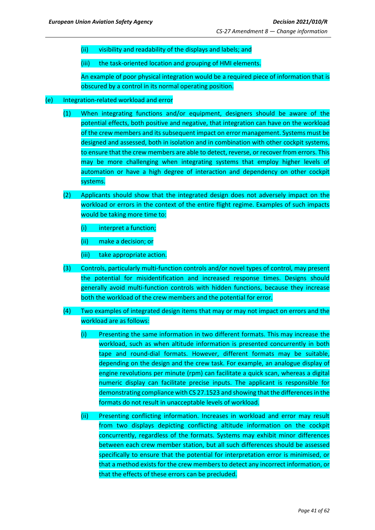(ii) visibility and readability of the displays and labels; and

(iii) the task-oriented location and grouping of HMI elements.

An example of poor physical integration would be a required piece of information that is obscured by a control in its normal operating position.

### (e) Integration-related workload and error

- (1) When integrating functions and/or equipment, designers should be aware of the potential effects, both positive and negative, that integration can have on the workload of the crew members and its subsequent impact on error management. Systems must be designed and assessed, both in isolation and in combination with other cockpit systems, to ensure that the crew members are able to detect, reverse, or recover from errors. This may be more challenging when integrating systems that employ higher levels of automation or have a high degree of interaction and dependency on other cockpit systems.
- (2) Applicants should show that the integrated design does not adversely impact on the workload or errors in the context of the entire flight regime. Examples of such impacts would be taking more time to:
	- (i) interpret a function;
	- (ii) make a decision; or
	- (iii) take appropriate action.
- (3) Controls, particularly multi-function controls and/or novel types of control, may present the potential for misidentification and increased response times. Designs should generally avoid multi-function controls with hidden functions, because they increase both the workload of the crew members and the potential for error.
- (4) Two examples of integrated design items that may or may not impact on errors and the workload are as follows:
	- (i) Presenting the same information in two different formats. This may increase the workload, such as when altitude information is presented concurrently in both tape and round-dial formats. However, different formats may be suitable, depending on the design and the crew task. For example, an analogue display of engine revolutions per minute (rpm) can facilitate a quick scan, whereas a digital numeric display can facilitate precise inputs. The applicant is responsible for demonstrating compliance with CS 27.1523 and showing that the differences in the formats do not result in unacceptable levels of workload.
	- (ii) Presenting conflicting information. Increases in workload and error may result from two displays depicting conflicting altitude information on the cockpit concurrently, regardless of the formats. Systems may exhibit minor differences between each crew member station, but all such differences should be assessed specifically to ensure that the potential for interpretation error is minimised, or that a method exists for the crew members to detect any incorrect information, or that the effects of these errors can be precluded.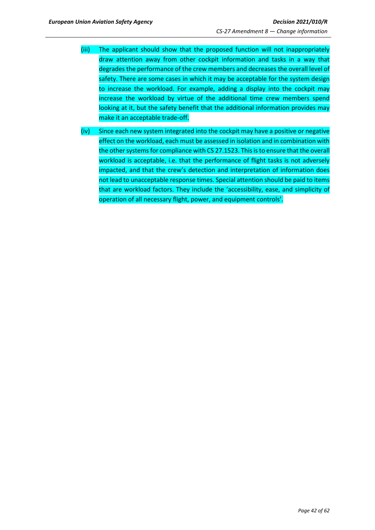- (iii) The applicant should show that the proposed function will not inappropriately draw attention away from other cockpit information and tasks in a way that degrades the performance of the crew members and decreases the overall level of safety. There are some cases in which it may be acceptable for the system design to increase the workload. For example, adding a display into the cockpit may increase the workload by virtue of the additional time crew members spend looking at it, but the safety benefit that the additional information provides may make it an acceptable trade-off.
- (iv) Since each new system integrated into the cockpit may have a positive or negative effect on the workload, each must be assessed in isolation and in combination with the other systems for compliance with CS 27.1523. This is to ensure that the overall workload is acceptable, i.e. that the performance of flight tasks is not adversely impacted, and that the crew's detection and interpretation of information does not lead to unacceptable response times. Special attention should be paid to items that are workload factors. They include the 'accessibility, ease, and simplicity of operation of all necessary flight, power, and equipment controls'.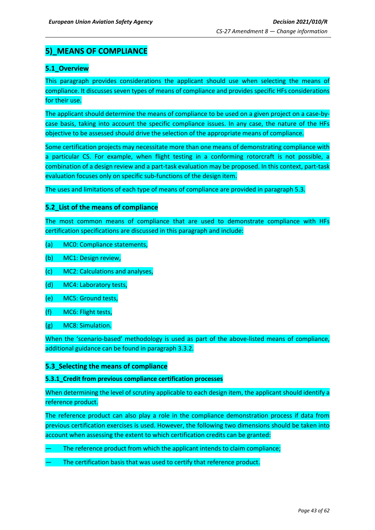## <span id="page-42-0"></span>**5)\_MEANS OF COMPLIANCE**

## <span id="page-42-1"></span>**5.1\_Overview**

This paragraph provides considerations the applicant should use when selecting the means of compliance. It discusses seven types of means of compliance and provides specific HFs considerations for their use.

The applicant should determine the means of compliance to be used on a given project on a case-bycase basis, taking into account the specific compliance issues. In any case, the nature of the HFs objective to be assessed should drive the selection of the appropriate means of compliance.

Some certification projects may necessitate more than one means of demonstrating compliance with a particular CS. For example, when flight testing in a conforming rotorcraft is not possible, a combination of a design review and a part-task evaluation may be proposed. In this context, part-task evaluation focuses only on specific sub-functions of the design item.

The uses and limitations of each type of means of compliance are provided in paragraph 5.3.

## <span id="page-42-2"></span>**5.2\_List of the means of compliance**

The most common means of compliance that are used to demonstrate compliance with HFs certification specifications are discussed in this paragraph and include:

- (a) MC0: Compliance statements,
- (b) MC1: Design review,
- (c) MC2: Calculations and analyses,
- (d) MC4: Laboratory tests,
- (e) MC5: Ground tests,
- (f) MC6: Flight tests,
- (g) MC8: Simulation.

When the 'scenario-based' methodology is used as part of the above-listed means of compliance, additional guidance can be found in paragraph 3.3.2.

## <span id="page-42-3"></span>**5.3\_Selecting the means of compliance**

### **5.3.1\_Credit from previous compliance certification processes**

When determining the level of scrutiny applicable to each design item, the applicant should identify a reference product.

The reference product can also play a role in the compliance demonstration process if data from previous certification exercises is used. However, the following two dimensions should be taken into account when assessing the extent to which certification credits can be granted:

- The reference product from which the applicant intends to claim compliance;
- The certification basis that was used to certify that reference product.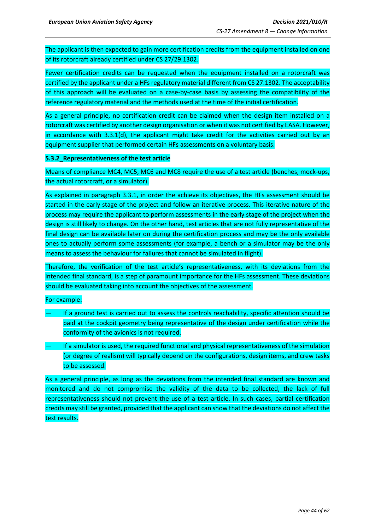The applicant is then expected to gain more certification credits from the equipment installed on one of its rotorcraft already certified under CS 27/29.1302.

Fewer certification credits can be requested when the equipment installed on a rotorcraft was certified by the applicant under a HFs regulatory material different from CS 27.1302. The acceptability of this approach will be evaluated on a case-by-case basis by assessing the compatibility of the reference regulatory material and the methods used at the time of the initial certification.

As a general principle, no certification credit can be claimed when the design item installed on a rotorcraft was certified by another design organisation or when it was not certified by EASA. However, in accordance with 3.3.1(d), the applicant might take credit for the activities carried out by an equipment supplier that performed certain HFs assessments on a voluntary basis.

### **5.3.2\_Representativeness of the test article**

Means of compliance MC4, MC5, MC6 and MC8 require the use of a test article (benches, mock-ups, the actual rotorcraft, or a simulator).

As explained in paragraph 3.3.1, in order the achieve its objectives, the HFs assessment should be started in the early stage of the project and follow an iterative process. This iterative nature of the process may require the applicant to perform assessments in the early stage of the project when the design is still likely to change. On the other hand, test articles that are not fully representative of the final design can be available later on during the certification process and may be the only available ones to actually perform some assessments (for example, a bench or a simulator may be the only means to assess the behaviour for failures that cannot be simulated in flight).

Therefore, the verification of the test article's representativeness, with its deviations from the intended final standard, is a step of paramount importance for the HFs assessment. These deviations should be evaluated taking into account the objectives of the assessment.

### For example:

- If a ground test is carried out to assess the controls reachability, specific attention should be paid at the cockpit geometry being representative of the design under certification while the conformity of the avionics is not required.
- If a simulator is used, the required functional and physical representativeness of the simulation (or degree of realism) will typically depend on the configurations, design items, and crew tasks to be assessed.

As a general principle, as long as the deviations from the intended final standard are known and monitored and do not compromise the validity of the data to be collected, the lack of full representativeness should not prevent the use of a test article. In such cases, partial certification credits may still be granted, provided that the applicant can show that the deviations do not affect the test results.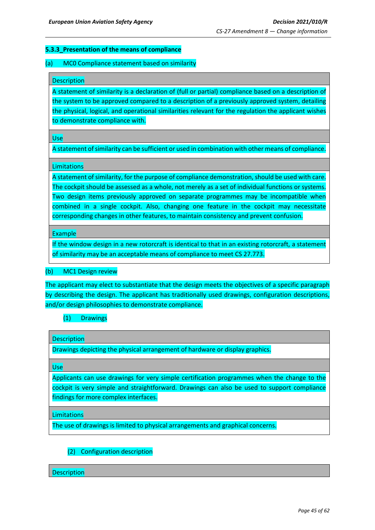### **5.3.3\_Presentation of the means of compliance**

### (a) MC0 Compliance statement based on similarity

#### **Description**

A statement of similarity is a declaration of (full or partial) compliance based on a description of the system to be approved compared to a description of a previously approved system, detailing the physical, logical, and operational similarities relevant for the regulation the applicant wishes to demonstrate compliance with.

Use

A statement of similarity can be sufficient or used in combination with other means of compliance.

### **Limitations**

A statement of similarity, for the purpose of compliance demonstration, should be used with care. The cockpit should be assessed as a whole, not merely as a set of individual functions or systems. Two design items previously approved on separate programmes may be incompatible when combined in a single cockpit. Also, changing one feature in the cockpit may necessitate corresponding changes in other features, to maintain consistency and prevent confusion.

#### Example

If the window design in a new rotorcraft is identical to that in an existing rotorcraft, a statement of similarity may be an acceptable means of compliance to meet CS 27.773.

### (b) MC1 Design review

The applicant may elect to substantiate that the design meets the objectives of a specific paragraph by describing the design. The applicant has traditionally used drawings, configuration descriptions, and/or design philosophies to demonstrate compliance.

## (1) Drawings

**Description** 

Drawings depicting the physical arrangement of hardware or display graphics.

Use

Applicants can use drawings for very simple certification programmes when the change to the cockpit is very simple and straightforward. Drawings can also be used to support compliance findings for more complex interfaces.

**Limitations** 

The use of drawings is limited to physical arrangements and graphical concerns.

## (2) Configuration description

**Description**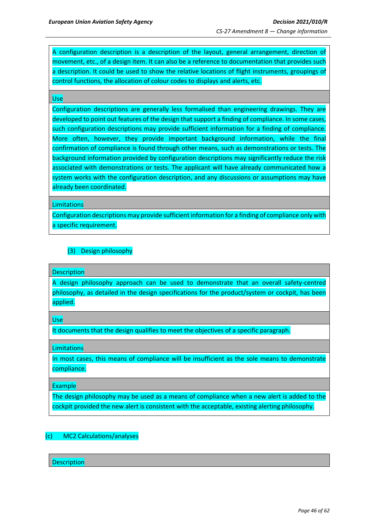A configuration description is a description of the layout, general arrangement, direction of movement, etc., of a design item. It can also be a reference to documentation that provides such a description. It could be used to show the relative locations of flight instruments, groupings of control functions, the allocation of colour codes to displays and alerts, etc.

#### Use

Configuration descriptions are generally less formalised than engineering drawings. They are developed to point out features of the design that support a finding of compliance. In some cases, such configuration descriptions may provide sufficient information for a finding of compliance. More often, however, they provide important background information, while the final confirmation of compliance is found through other means, such as demonstrations or tests. The background information provided by configuration descriptions may significantly reduce the risk associated with demonstrations or tests. The applicant will have already communicated how a system works with the configuration description, and any discussions or assumptions may have already been coordinated.

Limitations

Configuration descriptions may provide sufficient information for a finding of compliance only with a specific requirement.

## (3) Design philosophy

### Description

A design philosophy approach can be used to demonstrate that an overall safety-centred philosophy, as detailed in the design specifications for the product/system or cockpit, has been applied.

Use

It documents that the design qualifies to meet the objectives of a specific paragraph.

**Limitations** 

In most cases, this means of compliance will be insufficient as the sole means to demonstrate compliance.

Example

The design philosophy may be used as a means of compliance when a new alert is added to the cockpit provided the new alert is consistent with the acceptable, existing alerting philosophy.

### (c) MC2 Calculations/analyses

**Description**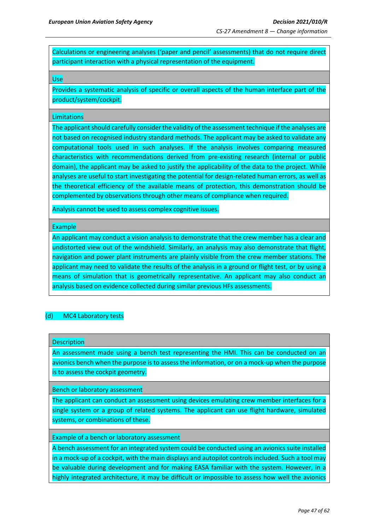Calculations or engineering analyses ('paper and pencil' assessments) that do not require direct participant interaction with a physical representation of the equipment.

Use

Provides a systematic analysis of specific or overall aspects of the human interface part of the product/system/cockpit.

#### **Limitations**

The applicant should carefully consider the validity of the assessment technique if the analyses are not based on recognised industry standard methods. The applicant may be asked to validate any computational tools used in such analyses. If the analysis involves comparing measured characteristics with recommendations derived from pre-existing research (internal or public domain), the applicant may be asked to justify the applicability of the data to the project. While analyses are useful to start investigating the potential for design-related human errors, as well as the theoretical efficiency of the available means of protection, this demonstration should be complemented by observations through other means of compliance when required.

Analysis cannot be used to assess complex cognitive issues.

Example

An applicant may conduct a vision analysis to demonstrate that the crew member has a clear and undistorted view out of the windshield. Similarly, an analysis may also demonstrate that flight, navigation and power plant instruments are plainly visible from the crew member stations. The applicant may need to validate the results of the analysis in a ground or flight test, or by using a means of simulation that is geometrically representative. An applicant may also conduct an analysis based on evidence collected during similar previous HFs assessments.

### (d) MC4 Laboratory tests

#### **Description**

An assessment made using a bench test representing the HMI. This can be conducted on an avionics bench when the purpose is to assess the information, or on a mock-up when the purpose is to assess the cockpit geometry.

Bench or laboratory assessment

The applicant can conduct an assessment using devices emulating crew member interfaces for a single system or a group of related systems. The applicant can use flight hardware, simulated systems, or combinations of these.

Example of a bench or laboratory assessment

A bench assessment for an integrated system could be conducted using an avionics suite installed in a mock-up of a cockpit, with the main displays and autopilot controls included. Such a tool may be valuable during development and for making EASA familiar with the system. However, in a highly integrated architecture, it may be difficult or impossible to assess how well the avionics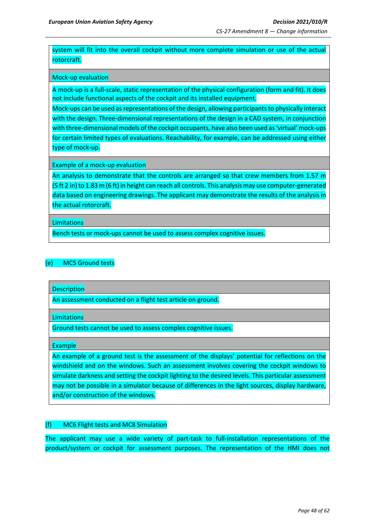system will fit into the overall cockpit without more complete simulation or use of the actual rotorcraft.

### Mock-up evaluation

A mock-up is a full-scale, static representation of the physical configuration (form and fit). It does not include functional aspects of the cockpit and its installed equipment.

Mock-ups can be used as representations of the design, allowing participants to physically interact with the design. Three-dimensional representations of the design in a CAD system, in conjunction with three-dimensional models of the cockpit occupants, have also been used as 'virtual' mock-ups for certain limited types of evaluations. Reachability, for example, can be addressed using either type of mock-up.

Example of a mock-up evaluation

An analysis to demonstrate that the controls are arranged so that crew members from 1.57 m (5 ft 2 in) to 1.83 m (6 ft) in height can reach all controls. This analysis may use computer-generated data based on engineering drawings. The applicant may demonstrate the results of the analysis in the actual rotorcraft.

### **Limitations**

Bench tests or mock-ups cannot be used to assess complex cognitive issues.

### (e) MC5 Ground tests

**Description** 

An assessment conducted on a flight test article on ground.

**Limitations** 

Ground tests cannot be used to assess complex cognitive issues.

Example

An example of a ground test is the assessment of the displays' potential for reflections on the windshield and on the windows. Such an assessment involves covering the cockpit windows to simulate darkness and setting the cockpit lighting to the desired levels. This particular assessment may not be possible in a simulator because of differences in the light sources, display hardware, and/or construction of the windows.

### (f) MC6 Flight tests and MC8 Simulation

The applicant may use a wide variety of part-task to full-installation representations of the product/system or cockpit for assessment purposes. The representation of the HMI does not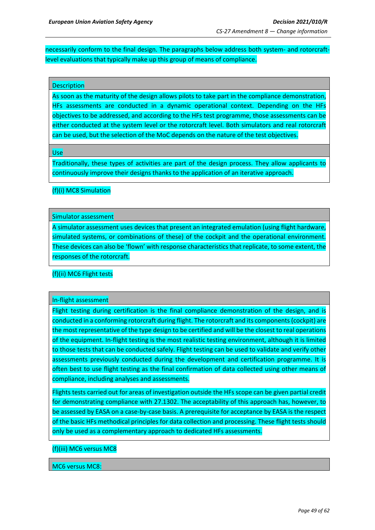necessarily conform to the final design. The paragraphs below address both system- and rotorcraftlevel evaluations that typically make up this group of means of compliance.

### **Description**

As soon as the maturity of the design allows pilots to take part in the compliance demonstration, HFs assessments are conducted in a dynamic operational context. Depending on the HFs objectives to be addressed, and according to the HFs test programme, those assessments can be either conducted at the system level or the rotorcraft level. Both simulators and real rotorcraft can be used, but the selection of the MoC depends on the nature of the test objectives.

Use

Traditionally, these types of activities are part of the design process. They allow applicants to continuously improve their designs thanks to the application of an iterative approach.

### (f)(i) MC8 Simulation

### Simulator assessment

A simulator assessment uses devices that present an integrated emulation (using flight hardware, simulated systems, or combinations of these) of the cockpit and the operational environment. These devices can also be 'flown' with response characteristics that replicate, to some extent, the responses of the rotorcraft.

### (f)(ii) MC6 Flight tests

### In-flight assessment

Flight testing during certification is the final compliance demonstration of the design, and is conducted in a conforming rotorcraft during flight. The rotorcraft and its components (cockpit) are the most representative of the type design to be certified and will be the closest to real operations of the equipment. In-flight testing is the most realistic testing environment, although it is limited to those tests that can be conducted safely. Flight testing can be used to validate and verify other assessments previously conducted during the development and certification programme. It is often best to use flight testing as the final confirmation of data collected using other means of compliance, including analyses and assessments.

Flights tests carried out for areas of investigation outside the HFs scope can be given partial credit for demonstrating compliance with 27.1302. The acceptability of this approach has, however, to be assessed by EASA on a case-by-case basis. A prerequisite for acceptance by EASA is the respect of the basic HFs methodical principles for data collection and processing. These flight tests should only be used as a complementary approach to dedicated HFs assessments.

#### (f)(iii) MC6 versus MC8

#### MC6 versus MC8: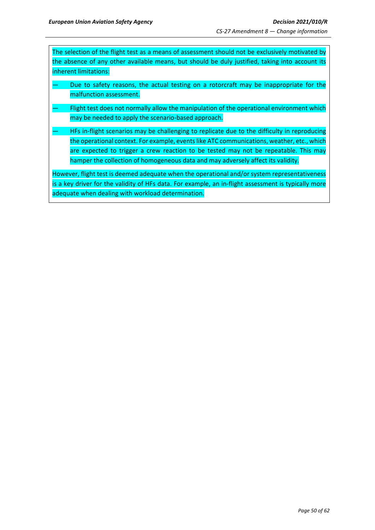The selection of the flight test as a means of assessment should not be exclusively motivated by the absence of any other available means, but should be duly justified, taking into account its inherent limitations:

- Due to safety reasons, the actual testing on a rotorcraft may be inappropriate for the malfunction assessment.
- Flight test does not normally allow the manipulation of the operational environment which may be needed to apply the scenario-based approach.
- HFs in-flight scenarios may be challenging to replicate due to the difficulty in reproducing the operational context. For example, events like ATC communications, weather, etc., which are expected to trigger a crew reaction to be tested may not be repeatable. This may hamper the collection of homogeneous data and may adversely affect its validity.

However, flight test is deemed adequate when the operational and/or system representativeness is a key driver for the validity of HFs data. For example, an in-flight assessment is typically more adequate when dealing with workload determination.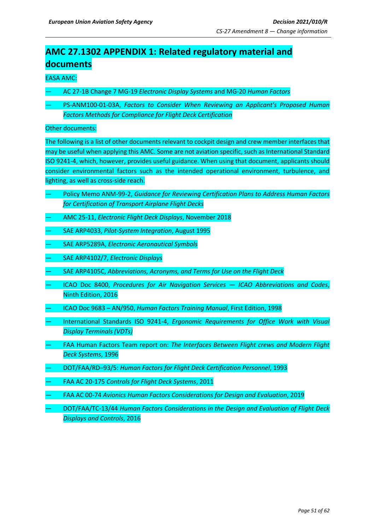# <span id="page-50-0"></span>**AMC 27.1302 APPENDIX 1: Related regulatory material and documents**

### EASA AMC:

- AC 27-1B Change 7 MG-19 *Electronic Display Systems* and MG-20 *Human Factors*
- PS-ANM100-01-03A, *Factors to Consider When Reviewing an Applicant's Proposed Human Factors Methods for Compliance for Flight Deck Certification*

### Other documents:

The following is a list of other documents relevant to cockpit design and crew member interfaces that may be useful when applying this AMC. Some are not aviation specific, such as International Standard ISO 9241-4, which, however, provides useful guidance. When using that document, applicants should consider environmental factors such as the intended operational environment, turbulence, and lighting, as well as cross-side reach.

- Policy Memo ANM-99-2, *Guidance for Reviewing Certification Plans to Address Human Factors for Certification of Transport Airplane Flight Decks*
- AMC 25-11, *Electronic Flight Deck Displays*, November 2018
- SAE ARP4033, *Pilot-System Integration*, August 1995
- SAE ARP5289A, *Electronic Aeronautical Symbols*
- SAE ARP4102/7, *Electronic Displays*
- SAE ARP4105C, *Abbreviations, Acronyms, and Terms for Use on the Flight Deck*
- ICAO Doc 8400, *Procedures for Air Navigation Services — ICAO Abbreviations and Codes*, Ninth Edition, 2016
- ICAO Doc 9683 AN/950, *Human Factors Training Manual*, First Edition, 1998
- International Standards ISO 9241-4, *Ergonomic Requirements for Office Work with Visual Display Terminals (VDTs)*
- FAA Human Factors Team report on: *The Interfaces Between Flight crews and Modern Flight Deck Systems*, 1996
- DOT/FAA/RD–93/5: *Human Factors for Flight Deck Certification Personnel*, 1993
- FAA AC 20-175 *Controls for Flight Deck Systems*, 2011
- FAA AC 00-74 *Avionics Human Factors Considerations for Design and Evaluation*, 2019
- DOT/FAA/TC-13/44 *Human Factors Considerations in the Design and Evaluation of Flight Deck Displays and Controls*, 2016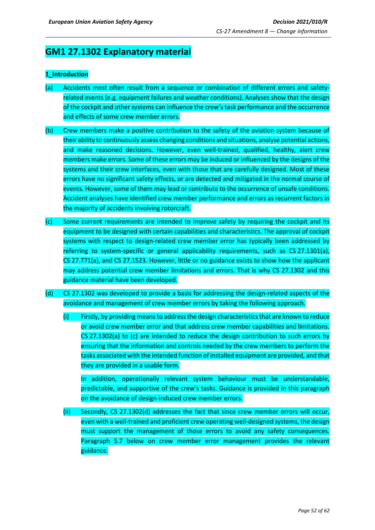## **GM1 27.1302 Explanatory material**

### **1\_Introduction**

- (a) Accidents most often result from a sequence or combination of different errors and safetyrelated events (e.g. equipment failures and weather conditions). Analyses show that the design of the cockpit and other systems can influence the crew's task performance and the occurrence and effects of some crew member errors.
- (b) Crew members make a positive contribution to the safety of the aviation system because of their ability to continuously assess changing conditions and situations, analyse potential actions, and make reasoned decisions. However, even well-trained, qualified, healthy, alert crew members make errors. Some of these errors may be induced or influenced by the designs of the systems and their crew interfaces, even with those that are carefully designed. Most of these errors have no significant safety effects, or are detected and mitigated in the normal course of events. However, some of them may lead or contribute to the occurrence of unsafe conditions. Accident analyses have identified crew member performance and errors as recurrent factors in the majority of accidents involving rotorcraft.
- (c) Some current requirements are intended to improve safety by requiring the cockpit and its equipment to be designed with certain capabilities and characteristics. The approval of cockpit systems with respect to design-related crew member error has typically been addressed by referring to system-specific or general applicability requirements, such as CS 27.1301(a), CS 27.771(a), and CS 27.1523. However, little or no guidance exists to show how the applicant may address potential crew member limitations and errors. That is why CS 27.1302 and this guidance material have been developed.
- (d) CS 27.1302 was developed to provide a basis for addressing the design-related aspects of the avoidance and management of crew member errors by taking the following approach.
	- (i) Firstly, by providing means to address the design characteristics that are known to reduce or avoid crew member error and that address crew member capabilities and limitations. CS 27.1302(a) to (c) are intended to reduce the design contribution to such errors by ensuring that the information and controls needed by the crew members to perform the tasks associated with the intended function of installed equipment are provided, and that they are provided in a usable form.

In addition, operationally relevant system behaviour must be understandable, predictable, and supportive of the crew's tasks. Guidance is provided in this paragraph on the avoidance of design-induced crew member errors.

(ii) Secondly, CS 27.1302(d) addresses the fact that since crew member errors will occur, even with a well-trained and proficient crew operating well-designed systems, the design must support the management of those errors to avoid any safety consequences. Paragraph 5.7 below on crew member error management provides the relevant guidance.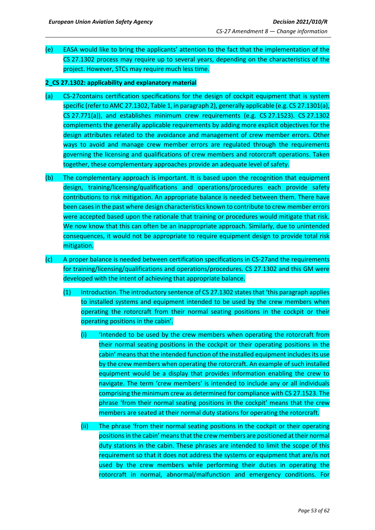(e) EASA would like to bring the applicants' attention to the fact that the implementation of the CS 27.1302 process may require up to several years, depending on the characteristics of the project. However, STCs may require much less time.

### **2\_CS 27.1302: applicability and explanatory material**

- (a) CS-27contains certification specifications for the design of cockpit equipment that is system specific (refer to AMC 27.1302, Table 1, in paragraph 2), generally applicable (e.g. CS 27.1301(a), CS 27.771(a)), and establishes minimum crew requirements (e.g. CS 27.1523). CS 27.1302 complements the generally applicable requirements by adding more explicit objectives for the design attributes related to the avoidance and management of crew member errors. Other ways to avoid and manage crew member errors are regulated through the requirements governing the licensing and qualifications of crew members and rotorcraft operations. Taken together, these complementary approaches provide an adequate level of safety.
- (b) The complementary approach is important. It is based upon the recognition that equipment design, training/licensing/qualifications and operations/procedures each provide safety contributions to risk mitigation. An appropriate balance is needed between them. There have been cases in the past where design characteristics known to contribute to crew member errors were accepted based upon the rationale that training or procedures would mitigate that risk. We now know that this can often be an inappropriate approach. Similarly, due to unintended consequences, it would not be appropriate to require equipment design to provide total risk mitigation.
- (c) A proper balance is needed between certification specifications in CS-27and the requirements for training/licensing/qualifications and operations/procedures. CS 27.1302 and this GM were developed with the intent of achieving that appropriate balance.
	- (1) Introduction. The introductory sentence of CS 27.1302 states that 'this paragraph applies to installed systems and equipment intended to be used by the crew members when operating the rotorcraft from their normal seating positions in the cockpit or their operating positions in the cabin'.
		- (i) 'Intended to be used by the crew members when operating the rotorcraft from their normal seating positions in the cockpit or their operating positions in the cabin' means that the intended function of the installed equipment includes its use by the crew members when operating the rotorcraft. An example of such installed equipment would be a display that provides information enabling the crew to navigate. The term 'crew members' is intended to include any or all individuals comprising the minimum crew as determined for compliance with CS 27.1523. The phrase 'from their normal seating positions in the cockpit' means that the crew members are seated at their normal duty stations for operating the rotorcraft.
		- (ii) The phrase 'from their normal seating positions in the cockpit or their operating positionsin the cabin' meansthatthe crew members are positioned at their normal duty stations in the cabin. These phrases are intended to limit the scope of this requirement so that it does not address the systems or equipment that are/is not used by the crew members while performing their duties in operating the rotorcraft in normal, abnormal/malfunction and emergency conditions. For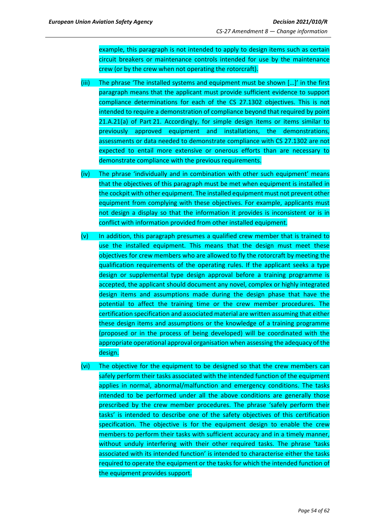example, this paragraph is not intended to apply to design items such as certain circuit breakers or maintenance controls intended for use by the maintenance crew (or by the crew when not operating the rotorcraft).

- (iii) The phrase 'The installed systems and equipment must be shown […]' in the first paragraph means that the applicant must provide sufficient evidence to support compliance determinations for each of the CS 27.1302 objectives. This is not intended to require a demonstration of compliance beyond that required by point 21.A.21(a) of Part 21. Accordingly, for simple design items or items similar to previously approved equipment and installations, the demonstrations, assessments or data needed to demonstrate compliance with CS 27.1302 are not expected to entail more extensive or onerous efforts than are necessary to demonstrate compliance with the previous requirements.
- (iv) The phrase 'individually and in combination with other such equipment' means that the objectives of this paragraph must be met when equipment is installed in the cockpit with other equipment. The installed equipment must not prevent other equipment from complying with these objectives. For example, applicants must not design a display so that the information it provides is inconsistent or is in conflict with information provided from other installed equipment.
- (v) In addition, this paragraph presumes a qualified crew member that is trained to use the installed equipment. This means that the design must meet these objectives for crew members who are allowed to fly the rotorcraft by meeting the qualification requirements of the operating rules. If the applicant seeks a type design or supplemental type design approval before a training programme is accepted, the applicant should document any novel, complex or highly integrated design items and assumptions made during the design phase that have the potential to affect the training time or the crew member procedures. The certification specification and associated material are written assuming that either these design items and assumptions or the knowledge of a training programme (proposed or in the process of being developed) will be coordinated with the appropriate operational approval organisation when assessing the adequacy of the design.
- (vi) The objective for the equipment to be designed so that the crew members can safely perform their tasks associated with the intended function of the equipment applies in normal, abnormal/malfunction and emergency conditions. The tasks intended to be performed under all the above conditions are generally those prescribed by the crew member procedures. The phrase 'safely perform their tasks' is intended to describe one of the safety objectives of this certification specification. The objective is for the equipment design to enable the crew members to perform their tasks with sufficient accuracy and in a timely manner, without unduly interfering with their other required tasks. The phrase 'tasks associated with its intended function' is intended to characterise either the tasks required to operate the equipment or the tasks for which the intended function of the equipment provides support.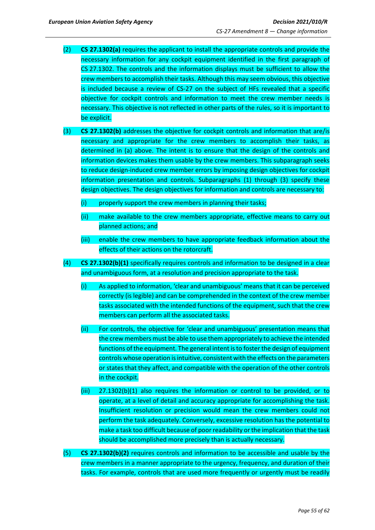- (2) **CS 27.1302(a)** requires the applicant to install the appropriate controls and provide the necessary information for any cockpit equipment identified in the first paragraph of CS 27.1302. The controls and the information displays must be sufficient to allow the crew members to accomplish their tasks. Although this may seem obvious, this objective is included because a review of CS-27 on the subject of HFs revealed that a specific objective for cockpit controls and information to meet the crew member needs is necessary. This objective is not reflected in other parts of the rules, so it is important to be explicit.
- (3) **CS 27.1302(b)** addresses the objective for cockpit controls and information that are/is necessary and appropriate for the crew members to accomplish their tasks, as determined in (a) above. The intent is to ensure that the design of the controls and information devices makes them usable by the crew members. This subparagraph seeks to reduce design-induced crew member errors by imposing design objectives for cockpit information presentation and controls. Subparagraphs (1) through (3) specify these design objectives. The design objectives for information and controls are necessary to:
	- (i) properly support the crew members in planning their tasks;
	- (ii) make available to the crew members appropriate, effective means to carry out planned actions; and
	- (iii) enable the crew members to have appropriate feedback information about the effects of their actions on the rotorcraft.
- (4) **CS 27.1302(b)(1)** specifically requires controls and information to be designed in a clear and unambiguous form, at a resolution and precision appropriate to the task.
	- (i) As applied to information, 'clear and unambiguous' means that it can be perceived correctly (is legible) and can be comprehended in the context of the crew member tasks associated with the intended functions of the equipment, such that the crew members can perform all the associated tasks.
	- (ii) For controls, the objective for 'clear and unambiguous' presentation means that the crew members must be able to use them appropriately to achieve the intended functions of the equipment. The general intent is to foster the design of equipment controls whose operation is intuitive, consistent with the effects on the parameters or states that they affect, and compatible with the operation of the other controls in the cockpit.
	- (iii) 27.1302(b)(1) also requires the information or control to be provided, or to operate, at a level of detail and accuracy appropriate for accomplishing the task. Insufficient resolution or precision would mean the crew members could not perform the task adequately. Conversely, excessive resolution has the potential to make a task too difficult because of poor readability or the implication that the task should be accomplished more precisely than is actually necessary.
- (5) **CS 27.1302(b)(2)** requires controls and information to be accessible and usable by the crew members in a manner appropriate to the urgency, frequency, and duration of their tasks. For example, controls that are used more frequently or urgently must be readily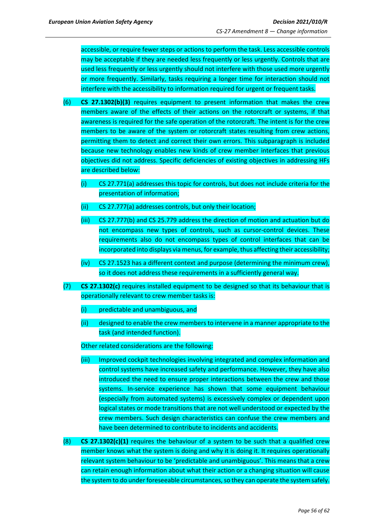accessible, or require fewer steps or actions to perform the task. Less accessible controls may be acceptable if they are needed less frequently or less urgently. Controls that are used less frequently or less urgently should not interfere with those used more urgently or more frequently. Similarly, tasks requiring a longer time for interaction should not interfere with the accessibility to information required for urgent or frequent tasks.

- (6) **CS 27.1302(b)(3)** requires equipment to present information that makes the crew members aware of the effects of their actions on the rotorcraft or systems, if that awareness is required for the safe operation of the rotorcraft. The intent is for the crew members to be aware of the system or rotorcraft states resulting from crew actions, permitting them to detect and correct their own errors. This subparagraph is included because new technology enables new kinds of crew member interfaces that previous objectives did not address. Specific deficiencies of existing objectives in addressing HFs are described below:
	- (i) CS 27.771(a) addresses this topic for controls, but does not include criteria for the presentation of information;
	- (ii) CS 27.777(a) addresses controls, but only their location;
	- (iii) CS 27.777(b) and CS 25.779 address the direction of motion and actuation but do not encompass new types of controls, such as cursor-control devices. These requirements also do not encompass types of control interfaces that can be incorporated into displays via menus, for example, thus affecting their accessibility;
	- (iv) CS 27.1523 has a different context and purpose (determining the minimum crew), so it does not address these requirements in a sufficiently general way.
- (7) **CS 27.1302(c)** requires installed equipment to be designed so that its behaviour that is operationally relevant to crew member tasks is:
	- (i) predictable and unambiguous, and
	- (ii) designed to enable the crew members to intervene in a manner appropriate to the task (and intended function).

Other related considerations are the following:

- (iii) Improved cockpit technologies involving integrated and complex information and control systems have increased safety and performance. However, they have also introduced the need to ensure proper interactions between the crew and those systems. In-service experience has shown that some equipment behaviour (especially from automated systems) is excessively complex or dependent upon logical states or mode transitions that are not well understood or expected by the crew members. Such design characteristics can confuse the crew members and have been determined to contribute to incidents and accidents.
- (8) **CS 27.1302(c)(1)** requires the behaviour of a system to be such that a qualified crew member knows what the system is doing and why it is doing it. It requires operationally relevant system behaviour to be 'predictable and unambiguous'. This means that a crew can retain enough information about what their action or a changing situation will cause the system to do under foreseeable circumstances, so they can operate the system safely.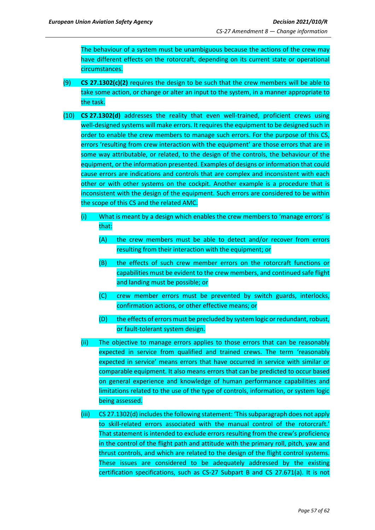The behaviour of a system must be unambiguous because the actions of the crew may have different effects on the rotorcraft, depending on its current state or operational circumstances.

- (9) **CS 27.1302(c)(2)** requires the design to be such that the crew members will be able to take some action, or change or alter an input to the system, in a manner appropriate to the task.
- (10) **CS 27.1302(d)** addresses the reality that even well-trained, proficient crews using well-designed systems will make errors. It requires the equipment to be designed such in order to enable the crew members to manage such errors. For the purpose of this CS, errors 'resulting from crew interaction with the equipment' are those errors that are in some way attributable, or related, to the design of the controls, the behaviour of the equipment, or the information presented. Examples of designs or information that could cause errors are indications and controls that are complex and inconsistent with each other or with other systems on the cockpit. Another example is a procedure that is inconsistent with the design of the equipment. Such errors are considered to be within the scope of this CS and the related AMC.
	- (i) What is meant by a design which enables the crew members to 'manage errors' is that:
		- (A) the crew members must be able to detect and/or recover from errors resulting from their interaction with the equipment; or
		- (B) the effects of such crew member errors on the rotorcraft functions or capabilities must be evident to the crew members, and continued safe flight and landing must be possible; or
		- (C) crew member errors must be prevented by switch guards, interlocks, confirmation actions, or other effective means; or
		- (D) the effects of errors must be precluded by system logic or redundant, robust, or fault-tolerant system design.
	- (ii) The objective to manage errors applies to those errors that can be reasonably expected in service from qualified and trained crews. The term 'reasonably expected in service' means errors that have occurred in service with similar or comparable equipment. It also means errors that can be predicted to occur based on general experience and knowledge of human performance capabilities and limitations related to the use of the type of controls, information, or system logic being assessed.
	- (iii) CS 27.1302(d) includes the following statement: 'This subparagraph does not apply to skill-related errors associated with the manual control of the rotorcraft.' That statement is intended to exclude errors resulting from the crew's proficiency in the control of the flight path and attitude with the primary roll, pitch, yaw and thrust controls, and which are related to the design of the flight control systems. These issues are considered to be adequately addressed by the existing certification specifications, such as CS-27 Subpart B and CS 27.671(a). It is not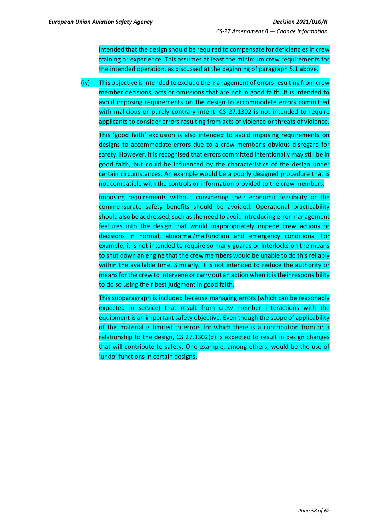intended that the design should be required to compensate for deficiencies in crew training or experience. This assumes at least the minimum crew requirements for the intended operation, as discussed at the beginning of paragraph 5.1 above.

(iv) This objective is intended to exclude the management of errors resulting from crew member decisions, acts or omissions that are not in good faith. It is intended to avoid imposing requirements on the design to accommodate errors committed with malicious or purely contrary intent. CS 27.1302 is not intended to require applicants to consider errors resulting from acts of violence or threats of violence.

This 'good faith' exclusion is also intended to avoid imposing requirements on designs to accommodate errors due to a crew member's obvious disregard for safety. However, it is recognised that errors committed intentionally may still be in good faith, but could be influenced by the characteristics of the design under certain circumstances. An example would be a poorly designed procedure that is not compatible with the controls or information provided to the crew members.

Imposing requirements without considering their economic feasibility or the commensurate safety benefits should be avoided. Operational practicability should also be addressed, such as the need to avoid introducing error management features into the design that would inappropriately impede crew actions or decisions in normal, abnormal/malfunction and emergency conditions. For example, it is not intended to require so many guards or interlocks on the means to shut down an engine that the crew members would be unable to do this reliably within the available time. Similarly, it is not intended to reduce the authority or means for the crew to intervene or carry out an action when it is their responsibility to do so using their best judgment in good faith.

This subparagraph is included because managing errors (which can be reasonably expected in service) that result from crew member interactions with the equipment is an important safety objective. Even though the scope of applicability of this material is limited to errors for which there is a contribution from or a relationship to the design, CS 27.1302(d) is expected to result in design changes that will contribute to safety. One example, among others, would be the use of 'undo' functions in certain designs.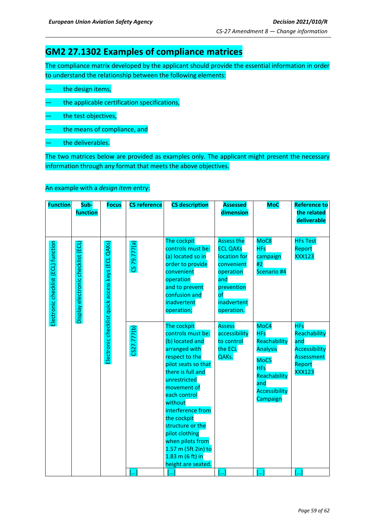## **GM2 27.1302 Examples of compliance matrices**

The compliance matrix developed by the applicant should provide the essential information in order to understand the relationship between the following elements:

- the design items,
- the applicable certification specifications,
- the test objectives,
- the means of compliance, and
- the deliverables.

The two matrices below are provided as examples only. The applicant might present the necessary information through any format that meets the above objectives.

### An example with a *design item* entry:

| <b>Function</b>                     | Sub-<br>function                   | <b>Focus</b>                                         | <b>CS reference</b>   | <b>CS description</b>                                                                                                                                                                                                                                                                                                                                         | <b>Assessed</b><br>dimension                                                                                                                       | <b>MoC</b>                                                                                                                      | <b>Reference to</b><br>the related<br>deliverable                                                  |
|-------------------------------------|------------------------------------|------------------------------------------------------|-----------------------|---------------------------------------------------------------------------------------------------------------------------------------------------------------------------------------------------------------------------------------------------------------------------------------------------------------------------------------------------------------|----------------------------------------------------------------------------------------------------------------------------------------------------|---------------------------------------------------------------------------------------------------------------------------------|----------------------------------------------------------------------------------------------------|
| Electronic checklist (ECL) function | Display electronic checklist (ECL) | QAKs)<br>Electronic checklist quick access keys (ECL | CS 79.777(a)          | The cockpit<br>controls must be:<br>(a) located so in<br>order to provide<br>convenient<br>operation<br>and to prevent<br>confusion and<br>inadvertent<br>operation;                                                                                                                                                                                          | <b>Assess the</b><br><b>ECL QAKs</b><br>location for<br>convenient<br>operation<br>and<br>prevention<br>$\mathsf{of}$<br>inadvertent<br>operation. | MoC <sub>8</sub><br><b>HFs</b><br>campaign<br>#2<br>Scenario #4                                                                 | <b>HFs Test</b><br>Report<br><b>XXX123</b>                                                         |
|                                     |                                    |                                                      | CS27.777(b)           | The cockpit<br>controls must be:<br>(b) located and<br>arranged with<br>respect to the<br>pilot seats so that<br>there is full and<br>unrestricted<br>movement of<br>each control<br>without<br>interference from<br>the cockpit<br>structure or the<br>pilot clothing<br>when pilots from<br>1.57 m (5ft 2in) to<br>$1.83$ m (6 ft) in<br>height are seated. | <b>Assess</b><br>accessibility<br>to control<br>the ECL<br>QAKs.                                                                                   | MoC4<br><b>HFs</b><br>Reachability<br><b>Analysis</b><br>MoC5<br><b>HFs</b><br>Reachability<br>and<br>Accessibility<br>Campaign | <b>HFs</b><br>Reachability<br>and<br><b>Accessibility</b><br>Assessment<br>Report<br><b>XXX123</b> |
|                                     |                                    |                                                      | $\left[\ldots\right]$ | []                                                                                                                                                                                                                                                                                                                                                            | []                                                                                                                                                 | []                                                                                                                              | []                                                                                                 |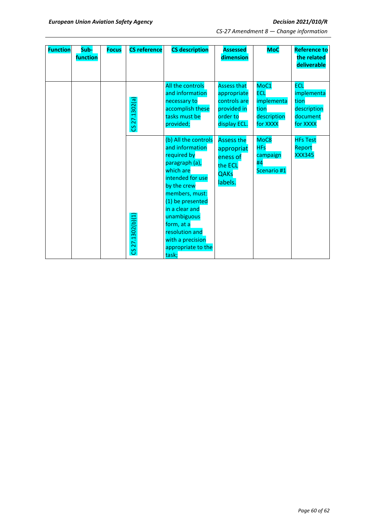| <b>Function</b> | Sub-<br>function | <b>Focus</b> | <b>CS reference</b> | <b>CS description</b>                                                                                                                                                                                                                                                              | <b>Assessed</b><br>dimension                                                                 | <b>MoC</b>                                                          | <b>Reference to</b><br>the related<br>deliverable                       |
|-----------------|------------------|--------------|---------------------|------------------------------------------------------------------------------------------------------------------------------------------------------------------------------------------------------------------------------------------------------------------------------------|----------------------------------------------------------------------------------------------|---------------------------------------------------------------------|-------------------------------------------------------------------------|
|                 |                  |              | CS 27.1302(a)       | All the controls<br>and information<br>necessary to<br>accomplish these<br>tasks must be<br>provided;                                                                                                                                                                              | <b>Assess that</b><br>appropriate<br>controls are<br>provided in<br>order to<br>display ECL. | MoC1<br><b>ECL</b><br>implementa<br>tion<br>description<br>for XXXX | <b>ECL</b><br>implementa<br>tion<br>description<br>document<br>for XXXX |
|                 |                  |              | CS 27.1302(b)(1     | (b) All the controls<br>and information<br>required by<br>paragraph (a),<br>which are<br>intended for use<br>by the crew<br>members, must:<br>(1) be presented<br>in a clear and<br>unambiguous<br>form, at a<br>resolution and<br>with a precision<br>appropriate to the<br>task; | <b>Assess the</b><br>appropriat<br>eness of<br>the ECL<br><b>QAKs</b><br>labels.             | MoC8<br><b>HFs</b><br>campaign<br>#4<br>Scenario #1                 | <b>HFs Test</b><br>Report<br><b>XXX345</b>                              |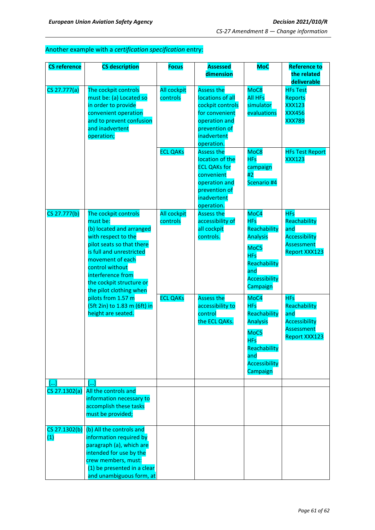## Another example with a *certification specification* entry:

| <b>CS reference</b>  | <b>CS description</b>                                                                                                                                                                                                                                           | <b>Focus</b>                   | <b>Assessed</b>                                                                                                                            | <b>MoC</b>                                                                                                                             | <b>Reference to</b>                                                                                    |
|----------------------|-----------------------------------------------------------------------------------------------------------------------------------------------------------------------------------------------------------------------------------------------------------------|--------------------------------|--------------------------------------------------------------------------------------------------------------------------------------------|----------------------------------------------------------------------------------------------------------------------------------------|--------------------------------------------------------------------------------------------------------|
|                      |                                                                                                                                                                                                                                                                 |                                | dimension                                                                                                                                  |                                                                                                                                        | the related<br>deliverable                                                                             |
| CS 27.777(a)         | The cockpit controls<br>must be: (a) Located so<br>in order to provide<br>convenient operation<br>and to prevent confusion<br>and inadvertent<br>operation;                                                                                                     | <b>All cockpit</b><br>controls | <b>Assess the</b><br>locations of all<br>cockpit controls<br>for convenient<br>operation and<br>prevention of<br>inadvertent<br>operation. | MoC8<br><b>All HFs</b><br>simulator<br>evaluations                                                                                     | <b>HFs Test</b><br>Reports<br><b>XXX123</b><br><b>XXX456</b><br><b>XXX789</b>                          |
|                      |                                                                                                                                                                                                                                                                 | <b>ECL QAKs</b>                | <b>Assess the</b><br>location of the<br><b>ECL QAKs for</b><br>convenient<br>operation and<br>prevention of<br>inadvertent<br>operation.   | MoC8<br><b>HFs</b><br>campaign<br>#2<br>Scenario #4                                                                                    | <b>HFs Test Report</b><br><b>XXX123</b>                                                                |
| CS 27.777(b)         | The cockpit controls<br>must be:<br>(b) located and arranged<br>with respect to the<br>pilot seats so that there<br>is full and unrestricted<br>movement of each<br>control without<br>interference from<br>the cockpit structure or<br>the pilot clothing when | All cockpit<br>controls        | <b>Assess the</b><br>accessibility of<br>all cockpit<br>controls.                                                                          | MoC4<br><b>HFs</b><br>Reachability<br><b>Analysis</b><br>MoC5<br><b>HFs</b><br>Reachability<br>and<br>Accessibility<br>Campaign        | <b>HFs</b><br>Reachability<br>and<br><b>Accessibility</b><br><b>Assessment</b><br><b>Report XXX123</b> |
|                      | pilots from 1.57 m<br>(5ft 2in) to 1.83 m (6ft) in<br>height are seated.                                                                                                                                                                                        | <b>ECL QAKs</b>                | <b>Assess the</b><br>accessibility to<br>control<br>the ECL QAKs.                                                                          | MoC4<br><b>HFs</b><br>Reachability<br><b>Analysis</b><br>MoC5<br><b>HFs</b><br>Reachability<br>and<br><b>Accessibility</b><br>Campaign | <b>HFs</b><br>Reachability<br>and<br><b>Accessibility</b><br><b>Assessment</b><br><b>Report XXX123</b> |
|                      | $\lceil \dots \rceil$                                                                                                                                                                                                                                           |                                |                                                                                                                                            |                                                                                                                                        |                                                                                                        |
| CS 27.1302(a)        | All the controls and<br>information necessary to<br>accomplish these tasks<br>must be provided;                                                                                                                                                                 |                                |                                                                                                                                            |                                                                                                                                        |                                                                                                        |
| CS 27.1302(b)<br>(1) | (b) All the controls and<br>information required by<br>paragraph (a), which are<br>intended for use by the<br>crew members, must:<br>(1) be presented in a clear<br>and unambiguous form, at                                                                    |                                |                                                                                                                                            |                                                                                                                                        |                                                                                                        |